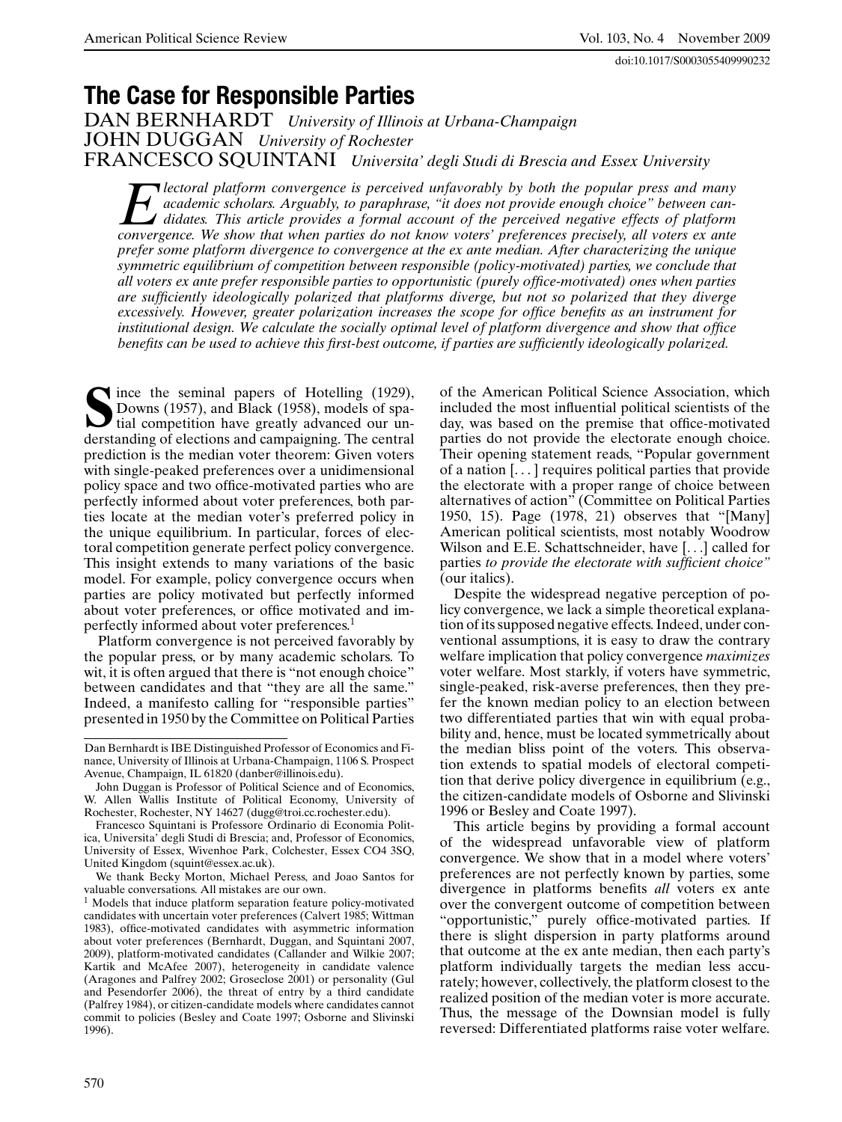doi:10.1017/S0003055409990232

# **The Case for Responsible Parties**

DAN BERNHARDT *University of Illinois at Urbana-Champaign* JOHN DUGGAN *University of Rochester* FRANCESCO SQUINTANI *Universita' degli Studi di Brescia and Essex University*

*Electoral platform convergence is perceived unfavorably by both the popular press and many academic scholars. Arguably, to paraphrase, "it does not provide enough choice" between candidates. This article provides a formal account of the perceived negative effects of platform convergence. We show that when parties do not know voters' preferences precisely, all voters ex ante prefer some platform divergence to convergence at the ex ante median. After characterizing the unique symmetric equilibrium of competition between responsible (policy-motivated) parties, we conclude that all voters ex ante prefer responsible parties to opportunistic (purely office-motivated) ones when parties are sufficiently ideologically polarized that platforms diverge, but not so polarized that they diverge excessively. However, greater polarization increases the scope for office benefits as an instrument for institutional design. We calculate the socially optimal level of platform divergence and show that office benefits can be used to achieve this first-best outcome, if parties are sufficiently ideologically polarized.*

Since the seminal papers of Hotelling (1929),<br>Downs (1957), and Black (1958), models of spa-<br>tial competition have greatly advanced our un-<br>derstanding of elections and cannaigning The central Downs (1957), and Black (1958), models of spaderstanding of elections and campaigning. The central prediction is the median voter theorem: Given voters with single-peaked preferences over a unidimensional policy space and two office-motivated parties who are perfectly informed about voter preferences, both parties locate at the median voter's preferred policy in the unique equilibrium. In particular, forces of electoral competition generate perfect policy convergence. This insight extends to many variations of the basic model. For example, policy convergence occurs when parties are policy motivated but perfectly informed about voter preferences, or office motivated and imperfectly informed about voter preferences.<sup>1</sup>

Platform convergence is not perceived favorably by the popular press, or by many academic scholars. To wit, it is often argued that there is "not enough choice" between candidates and that "they are all the same." Indeed, a manifesto calling for "responsible parties" presented in 1950 by the Committee on Political Parties of the American Political Science Association, which included the most influential political scientists of the day, was based on the premise that office-motivated parties do not provide the electorate enough choice. Their opening statement reads, "Popular government of a nation [. . . ] requires political parties that provide the electorate with a proper range of choice between alternatives of action" (Committee on Political Parties 1950, 15). Page (1978, 21) observes that "[Many] American political scientists, most notably Woodrow Wilson and E.E. Schattschneider, have [*...*] called for parties *to provide the electorate with sufficient choice"* (our italics).

Despite the widespread negative perception of policy convergence, we lack a simple theoretical explanation of its supposed negative effects. Indeed, under conventional assumptions, it is easy to draw the contrary welfare implication that policy convergence *maximizes* voter welfare. Most starkly, if voters have symmetric, single-peaked, risk-averse preferences, then they prefer the known median policy to an election between two differentiated parties that win with equal probability and, hence, must be located symmetrically about the median bliss point of the voters. This observation extends to spatial models of electoral competition that derive policy divergence in equilibrium (e.g., the citizen-candidate models of Osborne and Slivinski 1996 or Besley and Coate 1997).

This article begins by providing a formal account of the widespread unfavorable view of platform convergence. We show that in a model where voters' preferences are not perfectly known by parties, some divergence in platforms benefits *all* voters ex ante over the convergent outcome of competition between "opportunistic," purely office-motivated parties. If there is slight dispersion in party platforms around that outcome at the ex ante median, then each party's platform individually targets the median less accurately; however, collectively, the platform closest to the realized position of the median voter is more accurate. Thus, the message of the Downsian model is fully reversed: Differentiated platforms raise voter welfare.

Dan Bernhardt is IBE Distinguished Professor of Economics and Finance, University of Illinois at Urbana-Champaign, 1106 S. Prospect Avenue, Champaign, IL 61820 (danber@illinois.edu).

John Duggan is Professor of Political Science and of Economics, W. Allen Wallis Institute of Political Economy, University of Rochester, Rochester, NY 14627 (dugg@troi.cc.rochester.edu).

Francesco Squintani is Professore Ordinario di Economia Politica, Universita' degli Studi di Brescia; and, Professor of Economics, University of Essex, Wivenhoe Park, Colchester, Essex CO4 3SQ, United Kingdom (squint@essex.ac.uk).

We thank Becky Morton, Michael Peress, and Joao Santos for valuable conversations. All mistakes are our own.

<sup>&</sup>lt;sup>1</sup> Models that induce platform separation feature policy-motivated candidates with uncertain voter preferences (Calvert 1985; Wittman 1983), office-motivated candidates with asymmetric information about voter preferences (Bernhardt, Duggan, and Squintani 2007, 2009), platform-motivated candidates (Callander and Wilkie 2007; Kartik and McAfee 2007), heterogeneity in candidate valence (Aragones and Palfrey 2002; Groseclose 2001) or personality (Gul and Pesendorfer 2006), the threat of entry by a third candidate (Palfrey 1984), or citizen-candidate models where candidates cannot commit to policies (Besley and Coate 1997; Osborne and Slivinski 1996).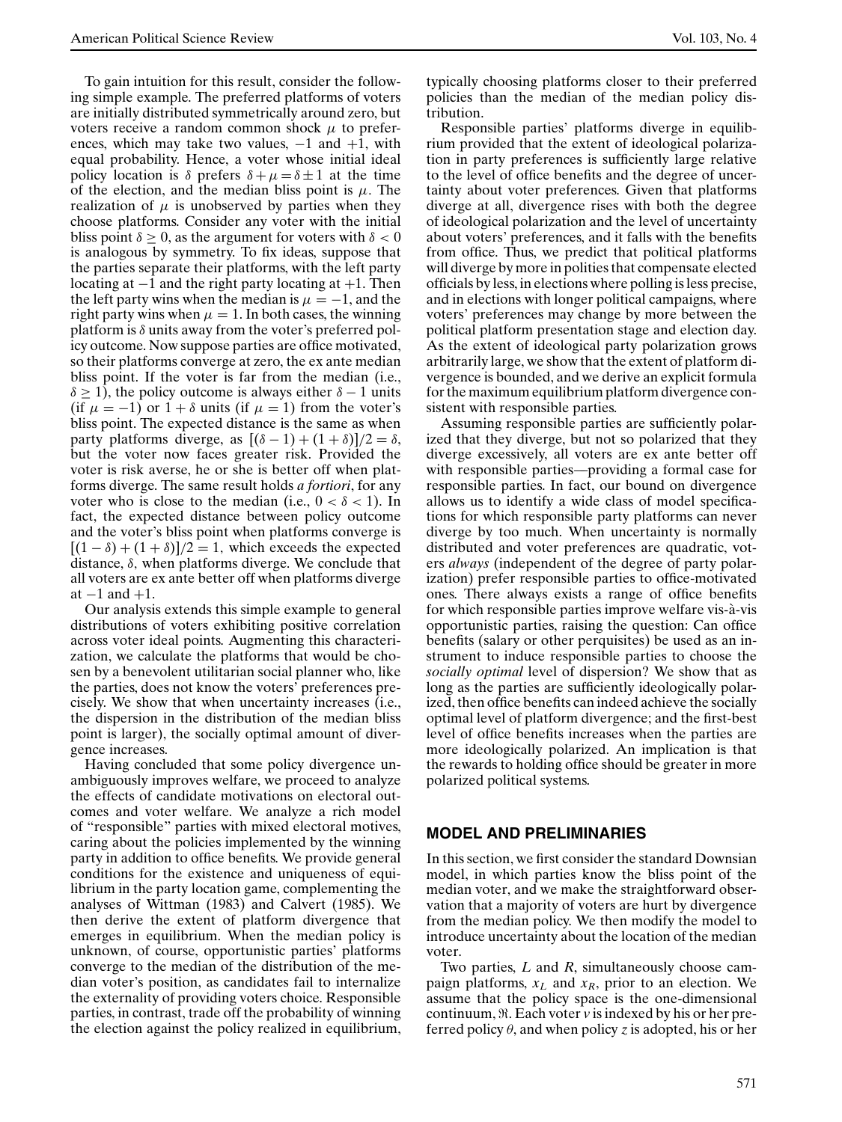To gain intuition for this result, consider the following simple example. The preferred platforms of voters are initially distributed symmetrically around zero, but voters receive a random common shock  $\mu$  to preferences, which may take two values,  $-1$  and  $+1$ , with equal probability. Hence, a voter whose initial ideal policy location is  $\delta$  prefers  $\delta + \mu = \delta \pm 1$  at the time of the election, and the median bliss point is  $\mu$ . The realization of  $\mu$  is unobserved by parties when they choose platforms. Consider any voter with the initial bliss point  $\delta \geq 0$ , as the argument for voters with  $\delta < 0$ is analogous by symmetry. To fix ideas, suppose that the parties separate their platforms, with the left party locating at  $-1$  and the right party locating at  $+1$ . Then the left party wins when the median is  $\mu = -1$ , and the right party wins when  $\mu = 1$ . In both cases, the winning platform is *δ* units away from the voter's preferred policy outcome. Now suppose parties are office motivated, so their platforms converge at zero, the ex ante median bliss point. If the voter is far from the median (i.e.,  $\delta \geq 1$ ), the policy outcome is always either  $\delta - 1$  units (if  $\mu = -1$ ) or  $1 + \delta$  units (if  $\mu = 1$ ) from the voter's bliss point. The expected distance is the same as when party platforms diverge, as  $[(\delta - 1) + (1 + \delta)]/2 = \delta$ , but the voter now faces greater risk. Provided the voter is risk averse, he or she is better off when platforms diverge. The same result holds *a fortiori*, for any voter who is close to the median (i.e.,  $0 < \delta < 1$ ). In fact, the expected distance between policy outcome and the voter's bliss point when platforms converge is  $[(1 - \delta) + (1 + \delta)]/2 = 1$ , which exceeds the expected distance, *δ,* when platforms diverge. We conclude that all voters are ex ante better off when platforms diverge at  $-1$  and  $+1$ .

Our analysis extends this simple example to general distributions of voters exhibiting positive correlation across voter ideal points. Augmenting this characterization, we calculate the platforms that would be chosen by a benevolent utilitarian social planner who, like the parties, does not know the voters' preferences precisely. We show that when uncertainty increases (i.e., the dispersion in the distribution of the median bliss point is larger), the socially optimal amount of divergence increases.

Having concluded that some policy divergence unambiguously improves welfare, we proceed to analyze the effects of candidate motivations on electoral outcomes and voter welfare. We analyze a rich model of "responsible" parties with mixed electoral motives, caring about the policies implemented by the winning party in addition to office benefits. We provide general conditions for the existence and uniqueness of equilibrium in the party location game, complementing the analyses of Wittman (1983) and Calvert (1985). We then derive the extent of platform divergence that emerges in equilibrium. When the median policy is unknown, of course, opportunistic parties' platforms converge to the median of the distribution of the median voter's position, as candidates fail to internalize the externality of providing voters choice. Responsible parties, in contrast, trade off the probability of winning the election against the policy realized in equilibrium, typically choosing platforms closer to their preferred policies than the median of the median policy distribution.

Responsible parties' platforms diverge in equilibrium provided that the extent of ideological polarization in party preferences is sufficiently large relative to the level of office benefits and the degree of uncertainty about voter preferences. Given that platforms diverge at all, divergence rises with both the degree of ideological polarization and the level of uncertainty about voters' preferences, and it falls with the benefits from office. Thus, we predict that political platforms will diverge by more in polities that compensate elected officials by less, in elections where polling is less precise, and in elections with longer political campaigns, where voters' preferences may change by more between the political platform presentation stage and election day. As the extent of ideological party polarization grows arbitrarily large, we show that the extent of platform divergence is bounded, and we derive an explicit formula for the maximum equilibrium platform divergence consistent with responsible parties.

Assuming responsible parties are sufficiently polarized that they diverge, but not so polarized that they diverge excessively, all voters are ex ante better off with responsible parties—–providing a formal case for responsible parties. In fact, our bound on divergence allows us to identify a wide class of model specifications for which responsible party platforms can never diverge by too much. When uncertainty is normally distributed and voter preferences are quadratic, voters *always* (independent of the degree of party polarization) prefer responsible parties to office-motivated ones. There always exists a range of office benefits for which responsible parties improve welfare vis-a-vis ` opportunistic parties, raising the question: Can office benefits (salary or other perquisites) be used as an instrument to induce responsible parties to choose the *socially optimal* level of dispersion? We show that as long as the parties are sufficiently ideologically polarized, then office benefits can indeed achieve the socially optimal level of platform divergence; and the first-best level of office benefits increases when the parties are more ideologically polarized. An implication is that the rewards to holding office should be greater in more polarized political systems.

### **MODEL AND PRELIMINARIES**

In this section, we first consider the standard Downsian model, in which parties know the bliss point of the median voter, and we make the straightforward observation that a majority of voters are hurt by divergence from the median policy. We then modify the model to introduce uncertainty about the location of the median voter.

Two parties, *L* and *R*, simultaneously choose campaign platforms, *xL* and *xR*, prior to an election. We assume that the policy space is the one-dimensional continuum,  $\Re$ . Each voter  $\nu$  is indexed by his or her preferred policy *θ*, and when policy *z* is adopted, his or her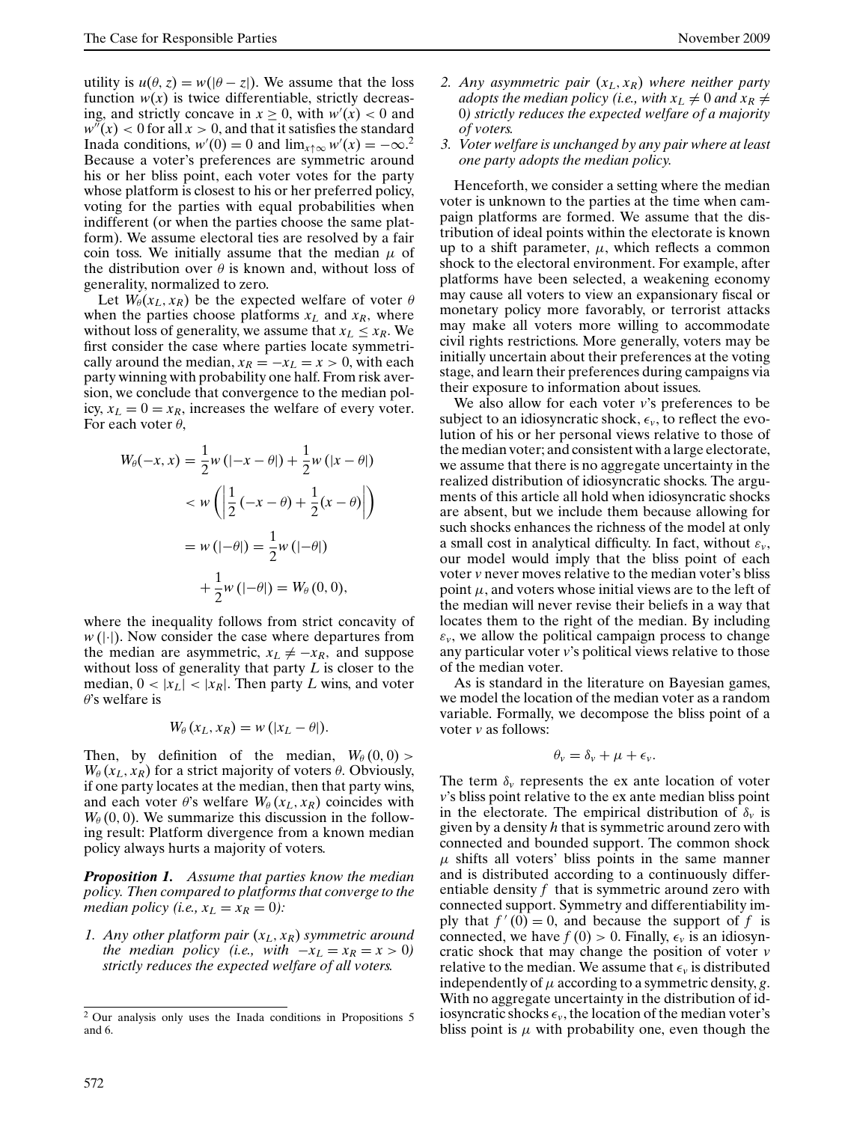utility is  $u(\theta, z) = w(|\theta - z|)$ . We assume that the loss function  $w(x)$  is twice differentiable, strictly decreasing, and strictly concave in  $x \ge 0$ , with  $w'(x) < 0$  and  $w''(x) < 0$  for all  $x > 0$ , and that it satisfies the standard Inada conditions,  $w'(0) = 0$  and  $\lim_{x \uparrow \infty} w'(x) = -\infty^2$ . Because a voter's preferences are symmetric around his or her bliss point, each voter votes for the party whose platform is closest to his or her preferred policy, voting for the parties with equal probabilities when indifferent (or when the parties choose the same platform). We assume electoral ties are resolved by a fair coin toss. We initially assume that the median  $\mu$  of the distribution over  $\theta$  is known and, without loss of generality, normalized to zero.

Let  $W_\theta(x_L, x_R)$  be the expected welfare of voter  $\theta$ when the parties choose platforms  $x_L$  and  $x_R$ , where without loss of generality, we assume that  $x_L \leq x_R$ . We first consider the case where parties locate symmetrically around the median,  $x_R = -x_L = x > 0$ , with each party winning with probability one half. From risk aversion, we conclude that convergence to the median policy,  $x_L = 0 = x_R$ , increases the welfare of every voter. For each voter *θ*,

$$
W_{\theta}(-x, x) = \frac{1}{2}w(|-x - \theta|) + \frac{1}{2}w(|x - \theta|)
$$
  

$$
< w\left(\left|\frac{1}{2}(-x - \theta) + \frac{1}{2}(x - \theta)\right|\right)
$$
  

$$
= w(|-\theta|) = \frac{1}{2}w(|-\theta|)
$$
  

$$
+ \frac{1}{2}w(|-\theta|) = W_{\theta}(0, 0),
$$

where the inequality follows from strict concavity of  $w$  ( $|\cdot|$ ). Now consider the case where departures from the median are asymmetric,  $x_L \neq -x_R$ , and suppose without loss of generality that party *L* is closer to the median,  $0 < |x_L| < |x_R|$ . Then party *L* wins, and voter *θ*'s welfare is

$$
W_{\theta}(x_L, x_R) = w(|x_L - \theta|).
$$

Then, by definition of the median,  $W_\theta(0,0)$  $W_{\theta}(x_L, x_R)$  for a strict majority of voters  $\theta$ . Obviously, if one party locates at the median, then that party wins, and each voter  $\theta$ 's welfare  $W_{\theta}(x_L, x_R)$  coincides with  $W_{\theta}(0, 0)$ . We summarize this discussion in the following result: Platform divergence from a known median policy always hurts a majority of voters.

*Proposition 1. Assume that parties know the median policy. Then compared to platforms that converge to the median policy (i.e.,*  $x_L = x_R = 0$ ):

*1. Any other platform pair* (*xL, xR*) *symmetric around the median policy (i.e., with*  $-x_L = x_R = x > 0$ *) strictly reduces the expected welfare of all voters.*

- *2. Any asymmetric pair* (*xL, xR*) *where neither party adopts the median policy (i.e., with*  $x_L \neq 0$  *and*  $x_R \neq 0$ 0*) strictly reduces the expected welfare of a majority of voters.*
- *3. Voter welfare is unchanged by any pair where at least one party adopts the median policy.*

Henceforth, we consider a setting where the median voter is unknown to the parties at the time when campaign platforms are formed. We assume that the distribution of ideal points within the electorate is known up to a shift parameter,  $\mu$ , which reflects a common shock to the electoral environment. For example, after platforms have been selected, a weakening economy may cause all voters to view an expansionary fiscal or monetary policy more favorably, or terrorist attacks may make all voters more willing to accommodate civil rights restrictions. More generally, voters may be initially uncertain about their preferences at the voting stage, and learn their preferences during campaigns via their exposure to information about issues.

We also allow for each voter *v*'s preferences to be subject to an idiosyncratic shock,  $\epsilon_{\nu}$ , to reflect the evolution of his or her personal views relative to those of the median voter; and consistent with a large electorate, we assume that there is no aggregate uncertainty in the realized distribution of idiosyncratic shocks. The arguments of this article all hold when idiosyncratic shocks are absent, but we include them because allowing for such shocks enhances the richness of the model at only a small cost in analytical difficulty. In fact, without *εv*, our model would imply that the bliss point of each voter *v* never moves relative to the median voter's bliss point  $\mu$ , and voters whose initial views are to the left of the median will never revise their beliefs in a way that locates them to the right of the median. By including  $\varepsilon$ <sup>*v*</sup>, we allow the political campaign process to change any particular voter *v*'s political views relative to those of the median voter.

As is standard in the literature on Bayesian games, we model the location of the median voter as a random variable. Formally, we decompose the bliss point of a voter *v* as follows:

$$
\theta_{v}=\delta_{v}+\mu+\epsilon_{v}.
$$

The term  $\delta$ <sup>*v*</sup> represents the ex ante location of voter *v*'s bliss point relative to the ex ante median bliss point in the electorate. The empirical distribution of  $\delta_{\nu}$  is given by a density *h* that is symmetric around zero with connected and bounded support. The common shock  $\mu$  shifts all voters' bliss points in the same manner and is distributed according to a continuously differentiable density *f* that is symmetric around zero with connected support. Symmetry and differentiability imply that  $f'(0) = 0$ , and because the support of *f* is connected, we have  $f(0) > 0$ . Finally,  $\epsilon_v$  is an idiosyncratic shock that may change the position of voter *v* relative to the median. We assume that  $\epsilon$  is distributed independently of  $\mu$  according to a symmetric density, g. With no aggregate uncertainty in the distribution of idiosyncratic shocks  $\epsilon_v$ , the location of the median voter's bliss point is  $\mu$  with probability one, even though the

<sup>2</sup> Our analysis only uses the Inada conditions in Propositions 5 and 6.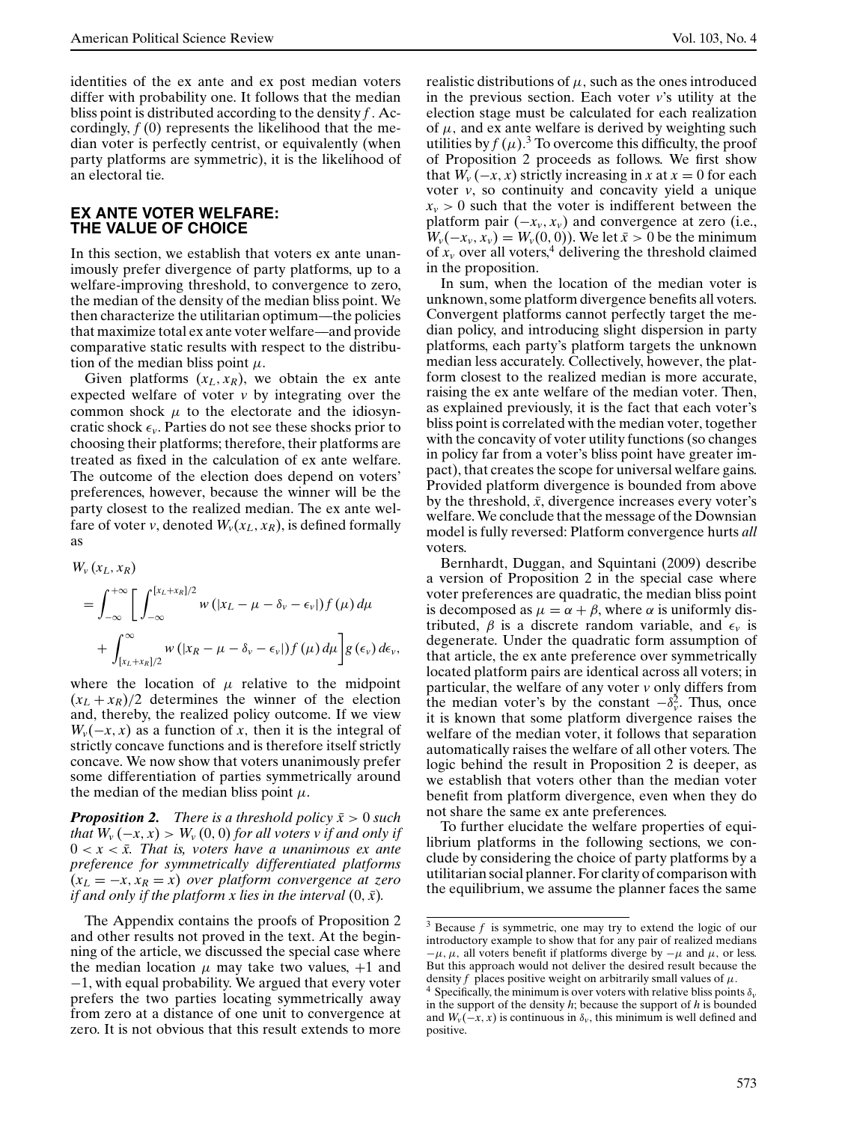identities of the ex ante and ex post median voters differ with probability one. It follows that the median bliss point is distributed according to the density *f .* Accordingly, *f* (0) represents the likelihood that the median voter is perfectly centrist, or equivalently (when party platforms are symmetric), it is the likelihood of an electoral tie.

#### **EX ANTE VOTER WELFARE: THE VALUE OF CHOICE**

In this section, we establish that voters ex ante unanimously prefer divergence of party platforms, up to a welfare-improving threshold, to convergence to zero, the median of the density of the median bliss point. We then characterize the utilitarian optimum—–the policies that maximize total ex ante voter welfare—–and provide comparative static results with respect to the distribution of the median bliss point  $\mu$ .

Given platforms  $(x_L, x_R)$ , we obtain the ex ante expected welfare of voter *v* by integrating over the common shock  $\mu$  to the electorate and the idiosyncratic shock  $\epsilon_{\nu}$ . Parties do not see these shocks prior to choosing their platforms; therefore, their platforms are treated as fixed in the calculation of ex ante welfare. The outcome of the election does depend on voters' preferences, however, because the winner will be the party closest to the realized median. The ex ante welfare of voter *v*, denoted  $W_v(x_L, x_R)$ , is defined formally as

$$
W_{\nu}(x_L, x_R)
$$
  
=  $\int_{-\infty}^{+\infty} \left[ \int_{-\infty}^{[x_L + x_R]/2} w(|x_L - \mu - \delta_{\nu} - \epsilon_{\nu}|) f(\mu) d\mu \right. +  $\int_{[x_L + x_R]/2}^{\infty} w(|x_R - \mu - \delta_{\nu} - \epsilon_{\nu}|) f(\mu) d\mu \right] g(\epsilon_{\nu}) d\epsilon_{\nu},$$ 

where the location of  $\mu$  relative to the midpoint  $(x_L + x_R)/2$  determines the winner of the election and, thereby, the realized policy outcome. If we view  $W_y(-x, x)$  as a function of *x*, then it is the integral of strictly concave functions and is therefore itself strictly concave. We now show that voters unanimously prefer some differentiation of parties symmetrically around the median of the median bliss point  $\mu$ .

*Proposition 2. There is a threshold policy*  $\bar{x} > 0$  *such that*  $W_v(-x, x) > W_v(0, 0)$  *for all voters v if and only if*  $0 < x < \bar{x}$ . That is, voters have a unanimous ex ante *preference for symmetrically differentiated platforms* (*xL* = −*x, xR* = *x*) *over platform convergence at zero if and only if the platform x lies in the interval*  $(0, \bar{x})$ *.* 

The Appendix contains the proofs of Proposition 2 and other results not proved in the text. At the beginning of the article, we discussed the special case where the median location  $\mu$  may take two values,  $+1$  and −1, with equal probability. We argued that every voter prefers the two parties locating symmetrically away from zero at a distance of one unit to convergence at zero. It is not obvious that this result extends to more

realistic distributions of  $\mu$ , such as the ones introduced in the previous section. Each voter *v*'s utility at the election stage must be calculated for each realization of  $\mu$ , and ex ante welfare is derived by weighting such utilities by  $f(\mu)$ <sup>3</sup>. To overcome this difficulty, the proof of Proposition 2 proceeds as follows. We first show that  $W_v(-x, x)$  strictly increasing in *x* at  $x = 0$  for each voter *v*, so continuity and concavity yield a unique  $x_v > 0$  such that the voter is indifferent between the platform pair  $(-x_v, x_v)$  and convergence at zero (i.e.,  $W_{\nu}(-x_{\nu}, x_{\nu}) = W_{\nu}(0, 0)$ . We let  $\bar{x} > 0$  be the minimum of  $x_v$  over all voters,<sup>4</sup> delivering the threshold claimed in the proposition.

In sum, when the location of the median voter is unknown, some platform divergence benefits all voters. Convergent platforms cannot perfectly target the median policy, and introducing slight dispersion in party platforms, each party's platform targets the unknown median less accurately. Collectively, however, the platform closest to the realized median is more accurate, raising the ex ante welfare of the median voter. Then, as explained previously, it is the fact that each voter's bliss point is correlated with the median voter, together with the concavity of voter utility functions (so changes in policy far from a voter's bliss point have greater impact), that creates the scope for universal welfare gains. Provided platform divergence is bounded from above by the threshold,  $\bar{x}$ , divergence increases every voter's welfare.We conclude that the message of the Downsian model is fully reversed: Platform convergence hurts *all* voters.

Bernhardt, Duggan, and Squintani (2009) describe a version of Proposition 2 in the special case where voter preferences are quadratic, the median bliss point is decomposed as  $\mu = \alpha + \beta$ , where  $\alpha$  is uniformly distributed,  $\beta$  is a discrete random variable, and  $\epsilon$ <sub>v</sub> is degenerate. Under the quadratic form assumption of that article, the ex ante preference over symmetrically located platform pairs are identical across all voters; in particular, the welfare of any voter *v* only differs from the median voter's by the constant  $-\delta_v^2$ . Thus, once it is known that some platform divergence raises the welfare of the median voter, it follows that separation automatically raises the welfare of all other voters. The logic behind the result in Proposition 2 is deeper, as we establish that voters other than the median voter benefit from platform divergence, even when they do not share the same ex ante preferences.

To further elucidate the welfare properties of equilibrium platforms in the following sections, we conclude by considering the choice of party platforms by a utilitarian social planner. For clarity of comparison with the equilibrium, we assume the planner faces the same

<sup>3</sup> Because *f* is symmetric, one may try to extend the logic of our introductory example to show that for any pair of realized medians  $-\mu$ ,  $\mu$ , all voters benefit if platforms diverge by  $-\mu$  and  $\mu$ , or less. But this approach would not deliver the desired result because the density  $f$  places positive weight on arbitrarily small values of  $\mu$ .

<sup>&</sup>lt;sup>4</sup> Specifically, the minimum is over voters with relative bliss points  $\delta$ <sup>*v*</sup> in the support of the density *h*; because the support of *h* is bounded and  $W_{\nu}(-x, x)$  is continuous in  $\delta_{\nu}$ , this minimum is well defined and positive.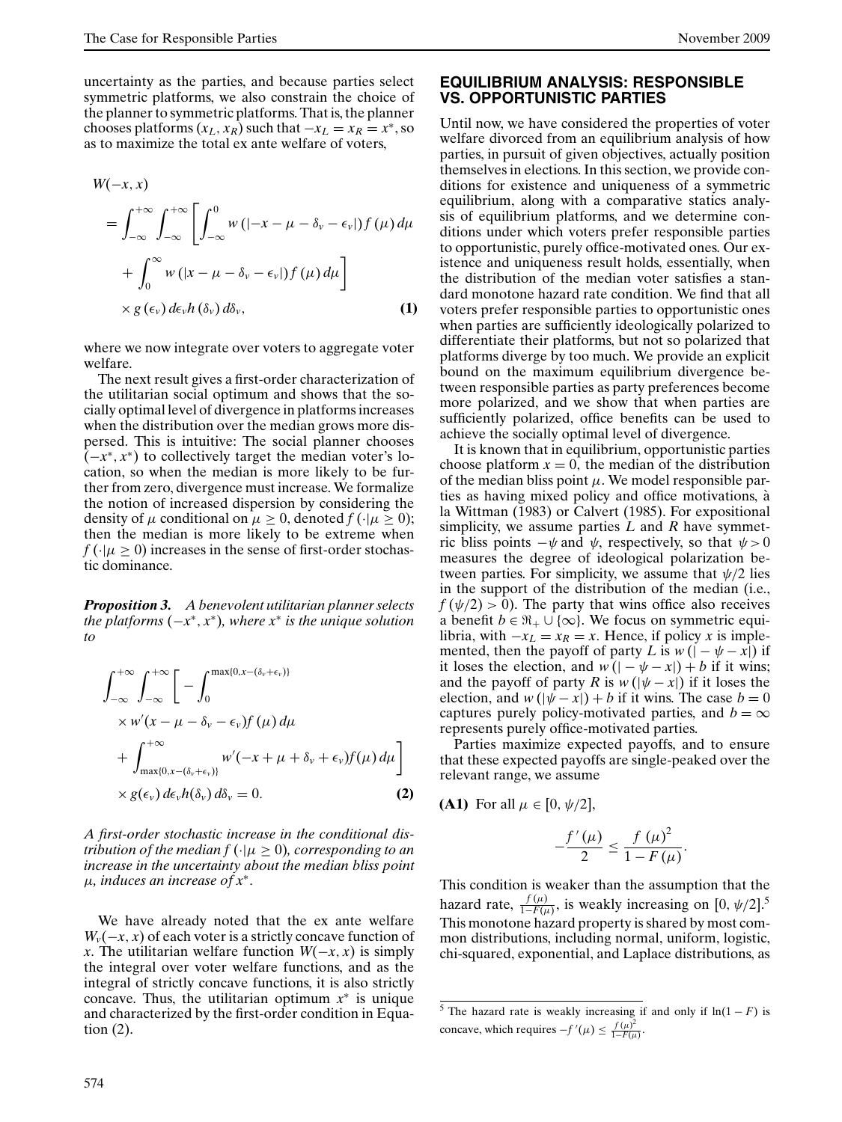uncertainty as the parties, and because parties select symmetric platforms, we also constrain the choice of the planner to symmetric platforms. That is, the planner chooses platforms  $(x_L, x_R)$  such that  $-x_L = x_R = x^*$ , so as to maximize the total ex ante welfare of voters,

$$
W(-x, x)
$$
  
=  $\int_{-\infty}^{+\infty} \int_{-\infty}^{+\infty} \left[ \int_{-\infty}^{0} w \left( |-x - \mu - \delta_{\nu} - \epsilon_{\nu}| \right) f(\mu) d\mu \right]$   
+  $\int_{0}^{\infty} w \left( |x - \mu - \delta_{\nu} - \epsilon_{\nu}| \right) f(\mu) d\mu \right]$   
×  $g(\epsilon_{\nu}) d\epsilon_{\nu} h(\delta_{\nu}) d\delta_{\nu}$ , (1)

where we now integrate over voters to aggregate voter welfare.

The next result gives a first-order characterization of the utilitarian social optimum and shows that the socially optimal level of divergence in platforms increases when the distribution over the median grows more dispersed. This is intuitive: The social planner chooses (−*x*<sup>∗</sup>*, x*<sup>∗</sup>) to collectively target the median voter's location, so when the median is more likely to be further from zero, divergence must increase. We formalize the notion of increased dispersion by considering the density of  $\mu$  conditional on  $\mu \geq 0$ , denoted  $f(\cdot | \mu \geq 0)$ ; then the median is more likely to be extreme when  $f(\cdot | \mu \ge 0)$  increases in the sense of first-order stochastic dominance.

*Proposition 3. A benevolent utilitarian planner selects the platforms* (−*x*<sup>∗</sup>*, x*<sup>∗</sup>)*, where x*<sup>∗</sup> *is the unique solution to*

$$
\int_{-\infty}^{+\infty} \int_{-\infty}^{+\infty} \left[ - \int_{0}^{\max\{0, x - (\delta_{v} + \epsilon_{v})\}} \times w'(x - \mu - \delta_{v} - \epsilon_{v}) f(\mu) d\mu \right. \left. + \int_{\max\{0, x - (\delta_{v} + \epsilon_{v})\}}^{+\infty} w'(-x + \mu + \delta_{v} + \epsilon_{v}) f(\mu) d\mu \right] \times g(\epsilon_{v}) d\epsilon_{v} h(\delta_{v}) d\delta_{v} = 0.
$$
 (2)

*A first-order stochastic increase in the conditional distribution of the median f* ( $\cdot | \mu \ge 0$ )*, corresponding to an increase in the uncertainty about the median bliss point µ, induces an increase of x*<sup>∗</sup>*.*

We have already noted that the ex ante welfare  $W_v(-x, x)$  of each voter is a strictly concave function of *x*. The utilitarian welfare function  $W(-x, x)$  is simply the integral over voter welfare functions, and as the integral of strictly concave functions, it is also strictly concave. Thus, the utilitarian optimum *x*<sup>∗</sup> is unique and characterized by the first-order condition in Equation (2).

### **EQUILIBRIUM ANALYSIS: RESPONSIBLE VS. OPPORTUNISTIC PARTIES**

Until now, we have considered the properties of voter welfare divorced from an equilibrium analysis of how parties, in pursuit of given objectives, actually position themselves in elections. In this section, we provide conditions for existence and uniqueness of a symmetric equilibrium, along with a comparative statics analysis of equilibrium platforms, and we determine conditions under which voters prefer responsible parties to opportunistic, purely office-motivated ones. Our existence and uniqueness result holds, essentially, when the distribution of the median voter satisfies a standard monotone hazard rate condition. We find that all voters prefer responsible parties to opportunistic ones when parties are sufficiently ideologically polarized to differentiate their platforms, but not so polarized that platforms diverge by too much. We provide an explicit bound on the maximum equilibrium divergence between responsible parties as party preferences become more polarized, and we show that when parties are sufficiently polarized, office benefits can be used to achieve the socially optimal level of divergence.

It is known that in equilibrium, opportunistic parties choose platform  $x = 0$ , the median of the distribution of the median bliss point  $\mu$ . We model responsible parties as having mixed policy and office motivations, a` la Wittman (1983) or Calvert (1985). For expositional simplicity, we assume parties *L* and *R* have symmetric bliss points  $-\psi$  and  $\psi$ , respectively, so that  $\psi > 0$ measures the degree of ideological polarization between parties. For simplicity, we assume that  $\psi/2$  lies in the support of the distribution of the median (i.e.,  $f(\psi/2) > 0$ ). The party that wins office also receives a benefit  $b \in \mathbb{R}_+ \cup \{\infty\}$ . We focus on symmetric equilibria, with  $-x_L = x_R = x$ . Hence, if policy *x* is implemented, then the payoff of party *L* is  $w(|-\psi-x|)$  if it loses the election, and  $w(|-\psi-x|)+b$  if it wins; and the payoff of party *R* is  $w(|\psi - x|)$  if it loses the election, and  $w(|\psi - x|) + b$  if it wins. The case  $b = 0$ captures purely policy-motivated parties, and  $b = \infty$ represents purely office-motivated parties.

Parties maximize expected payoffs, and to ensure that these expected payoffs are single-peaked over the relevant range, we assume

**(A1)** For all  $\mu \in [0, \psi/2]$ ,

$$
-\frac{f'(\mu)}{2} \le \frac{f(\mu)^2}{1-F(\mu)}.
$$

This condition is weaker than the assumption that the hazard rate,  $\frac{f(\mu)}{1-F(\mu)}$ , is weakly increasing on [0*, ψ/*2].<sup>5</sup> This monotone hazard property is shared by most common distributions, including normal, uniform, logistic, chi-squared, exponential, and Laplace distributions, as

<sup>&</sup>lt;sup>5</sup> The hazard rate is weakly increasing if and only if  $ln(1 - F)$  is concave, which requires  $-f'(\mu) \le \frac{f(\mu)^2}{1-F(\mu)}$ .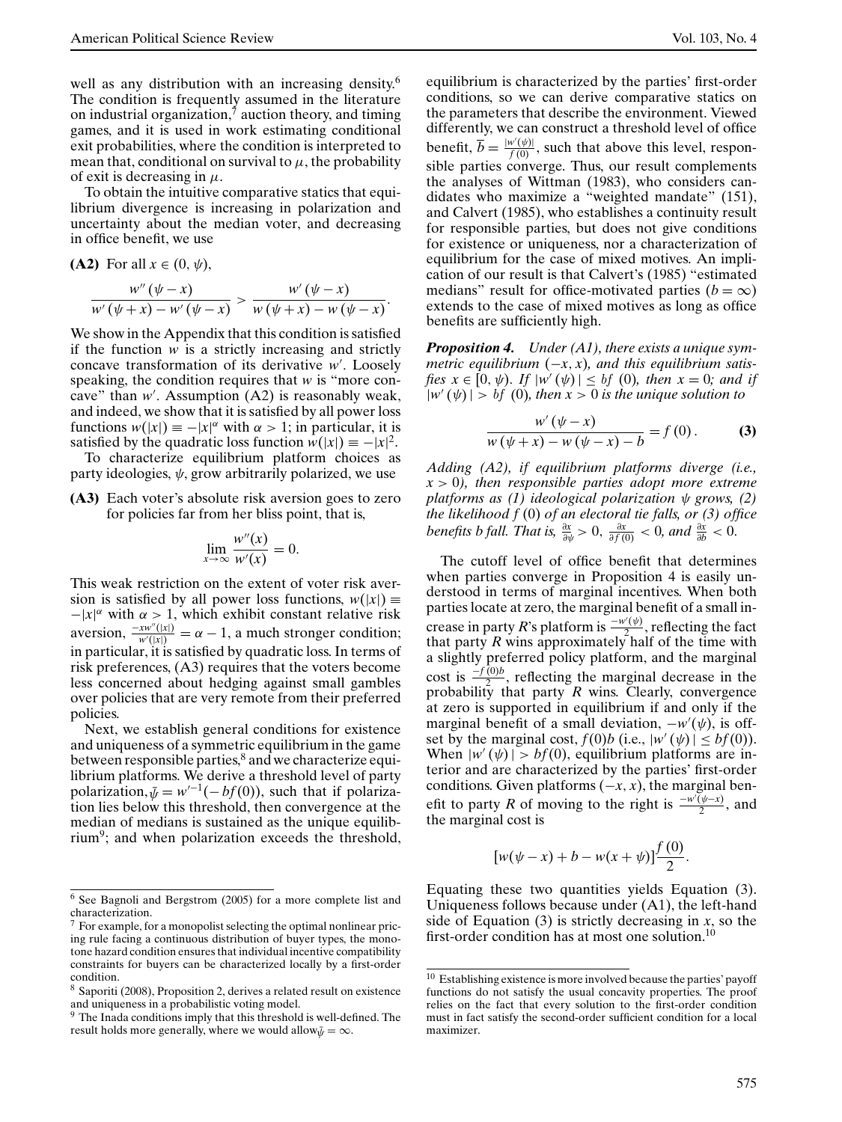well as any distribution with an increasing density.<sup>6</sup> The condition is frequently assumed in the literature on industrial organization, $\frac{7}{1}$  auction theory, and timing games, and it is used in work estimating conditional exit probabilities, where the condition is interpreted to mean that, conditional on survival to  $\mu$ , the probability of exit is decreasing in  $\mu$ .

To obtain the intuitive comparative statics that equilibrium divergence is increasing in polarization and uncertainty about the median voter, and decreasing in office benefit, we use

**(A2)** For all 
$$
x \in (0, \psi)
$$
,

$$
\frac{w''(\psi - x)}{w'(\psi + x) - w'(\psi - x)} > \frac{w'(\psi - x)}{w(\psi + x) - w(\psi - x)}
$$

*.*

We show in the Appendix that this condition is satisfied if the function  $w$  is a strictly increasing and strictly concave transformation of its derivative *w .* Loosely speaking, the condition requires that *w* is "more concave" than *w .* Assumption (A2) is reasonably weak, and indeed, we show that it is satisfied by all power loss functions  $w(|x|) = -|x|^{\alpha}$  with  $\alpha > 1$ ; in particular, it is satisfied by the quadratic loss function  $w(|x|) = -|x|^2$ .

To characterize equilibrium platform choices as party ideologies, *ψ*, grow arbitrarily polarized, we use

**(A3)** Each voter's absolute risk aversion goes to zero for policies far from her bliss point, that is,

$$
\lim_{x \to \infty} \frac{w''(x)}{w'(x)} = 0.
$$

This weak restriction on the extent of voter risk aversion is satisfied by all power loss functions,  $w(|x|) \equiv$  $-|x|^{\alpha}$  with  $\alpha > 1$ , which exhibit constant relative risk aversion,  $\frac{-xw''(|x|)}{w'(|x|)} = \alpha - 1$ , a much stronger condition; in particular, it is satisfied by quadratic loss. In terms of risk preferences, (A3) requires that the voters become less concerned about hedging against small gambles over policies that are very remote from their preferred policies.

Next, we establish general conditions for existence and uniqueness of a symmetric equilibrium in the game between responsible parties,<sup>8</sup> and we characterize equilibrium platforms. We derive a threshold level of party polarization,  $\bar{\psi} = w^{-1}(-bf(0))$ , such that if polarization lies below this threshold, then convergence at the median of medians is sustained as the unique equilibrium<sup>9</sup>; and when polarization exceeds the threshold, equilibrium is characterized by the parties' first-order conditions, so we can derive comparative statics on the parameters that describe the environment. Viewed differently, we can construct a threshold level of office benefit,  $\overline{b} = \frac{|w'(0)|}{f(0)}$ , such that above this level, responsible parties converge. Thus, our result complements the analyses of Wittman (1983), who considers candidates who maximize a "weighted mandate" (151), and Calvert (1985), who establishes a continuity result for responsible parties, but does not give conditions for existence or uniqueness, nor a characterization of equilibrium for the case of mixed motives. An implication of our result is that Calvert's (1985) "estimated medians" result for office-motivated parties ( $b = \infty$ ) extends to the case of mixed motives as long as office benefits are sufficiently high.

*Proposition 4. Under (A1), there exists a unique symmetric equilibrium* (−*x, x*)*, and this equilibrium satisfies*  $x \in [0, \psi)$ *. If*  $|w'(\psi)| \leq bf(0)$ *, then*  $x = 0$ *; and if*  $|w'(\psi)| > bf(0)$ *, then*  $x > 0$  *is the unique solution to* 

$$
\frac{w'(\psi - x)}{w(\psi + x) - w(\psi - x) - b} = f(0).
$$
 (3)

*Adding (A2), if equilibrium platforms diverge (i.e., x >* 0*), then responsible parties adopt more extreme platforms as (1) ideological polarization ψ grows, (2) the likelihood f* (0) *of an electoral tie falls, or (3) office benefits b fall. That is,*  $\frac{\partial x}{\partial \psi} > 0$ ,  $\frac{\partial x}{\partial f(0)} < 0$ , and  $\frac{\partial x}{\partial b} < 0$ .

The cutoff level of office benefit that determines when parties converge in Proposition 4 is easily understood in terms of marginal incentives. When both parties locate at zero, the marginal benefit of a small increase in party *R*'s platform is  $\frac{-w'(\psi)}{2}$ , reflecting the fact that party *R* wins approximately half of the time with a slightly preferred policy platform, and the marginal cost is  $\frac{-f(0)b}{m^2}$ , reflecting the marginal decrease in the probability that party  $R$  wins. Clearly, convergence at zero is supported in equilibrium if and only if the marginal benefit of a small deviation, −*w* (*ψ*), is offset by the marginal cost,  $f(0)b$  (i.e.,  $|w'(w)| \le bf(0)$ ). When  $|w'(\psi)| > bf(0)$ , equilibrium platforms are interior and are characterized by the parties' first-order conditions. Given platforms (−*x, x*), the marginal benefit to party *R* of moving to the right is  $\frac{-w'(\psi - x)}{2}$ , and the marginal cost is

$$
[w(\psi - x) + b - w(x + \psi)]\frac{f(0)}{2}.
$$

Equating these two quantities yields Equation (3). Uniqueness follows because under (A1), the left-hand side of Equation  $(3)$  is strictly decreasing in *x*, so the first-order condition has at most one solution.<sup>10</sup>

<sup>6</sup> See Bagnoli and Bergstrom (2005) for a more complete list and characterization.

 $7$  For example, for a monopolist selecting the optimal nonlinear pricing rule facing a continuous distribution of buyer types, the monotone hazard condition ensures that individual incentive compatibility constraints for buyers can be characterized locally by a first-order condition.

<sup>8</sup> Saporiti (2008), Proposition 2, derives a related result on existence and uniqueness in a probabilistic voting model.

 $9<sup>9</sup>$  The Inada conditions imply that this threshold is well-defined. The result holds more generally, where we would allow  $\bar{\psi} = \infty$ .

<sup>&</sup>lt;sup>10</sup> Establishing existence is more involved because the parties' payoff functions do not satisfy the usual concavity properties. The proof relies on the fact that every solution to the first-order condition must in fact satisfy the second-order sufficient condition for a local maximizer.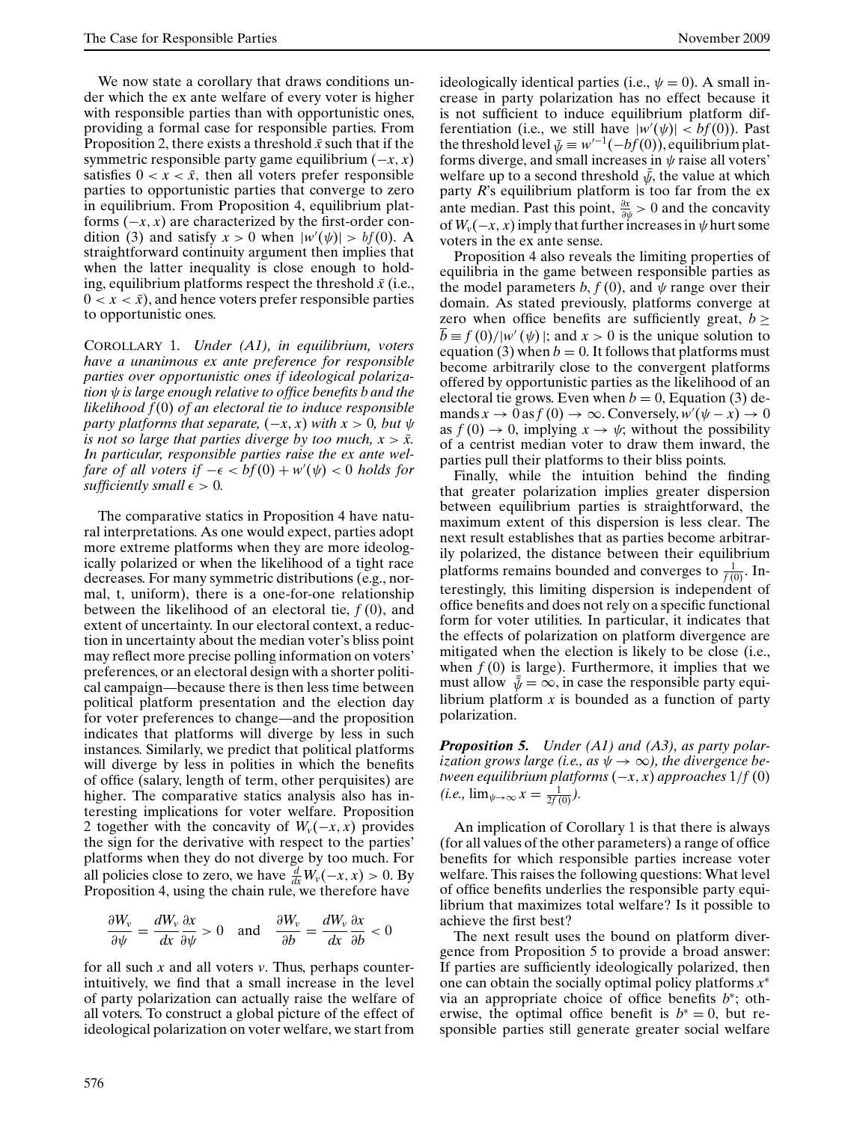We now state a corollary that draws conditions under which the ex ante welfare of every voter is higher with responsible parties than with opportunistic ones, providing a formal case for responsible parties. From Proposition 2, there exists a threshold  $\bar{x}$  such that if the symmetric responsible party game equilibrium (−*x, x*) satisfies  $0 < x < \bar{x}$ , then all voters prefer responsible parties to opportunistic parties that converge to zero in equilibrium. From Proposition 4, equilibrium platforms (−*x, x*) are characterized by the first-order condition (3) and satisfy  $x > 0$  when  $|w'(\psi)| > bf(0)$ . A straightforward continuity argument then implies that when the latter inequality is close enough to holding, equilibrium platforms respect the threshold  $\bar{x}$  (i.e.,  $0 < x < \bar{x}$ ), and hence voters prefer responsible parties to opportunistic ones.

COROLLARY 1. *Under (A1), in equilibrium, voters have a unanimous ex ante preference for responsible parties over opportunistic ones if ideological polarization ψ is large enough relative to office benefits b and the likelihood f*(0) *of an electoral tie to induce responsible party platforms that separate,*  $(-x, x)$  *with*  $x > 0$ *, but*  $\psi$ *is not so large that parties diverge by too much,*  $x > \bar{x}$ *. In particular, responsible parties raise the ex ante welfare of all voters if*  $-\epsilon < bf(0) + w'(\psi) < 0$  *holds for sufficiently small*  $\epsilon > 0$ .

The comparative statics in Proposition 4 have natural interpretations. As one would expect, parties adopt more extreme platforms when they are more ideologically polarized or when the likelihood of a tight race decreases. For many symmetric distributions (e.g., normal, t, uniform), there is a one-for-one relationship between the likelihood of an electoral tie,  $f(0)$ , and extent of uncertainty. In our electoral context, a reduction in uncertainty about the median voter's bliss point may reflect more precise polling information on voters' preferences, or an electoral design with a shorter political campaign—–because there is then less time between political platform presentation and the election day for voter preferences to change—–and the proposition indicates that platforms will diverge by less in such instances. Similarly, we predict that political platforms will diverge by less in polities in which the benefits of office (salary, length of term, other perquisites) are higher. The comparative statics analysis also has interesting implications for voter welfare. Proposition 2 together with the concavity of  $W_y(-x, x)$  provides the sign for the derivative with respect to the parties' platforms when they do not diverge by too much. For all policies close to zero, we have  $\frac{d}{dx}W_v(-x, x) > 0$ . By Proposition 4, using the chain rule, we therefore have

$$
\frac{\partial W_{\nu}}{\partial \psi} = \frac{dW_{\nu}}{dx} \frac{\partial x}{\partial \psi} > 0 \quad \text{and} \quad \frac{\partial W_{\nu}}{\partial b} = \frac{dW_{\nu}}{dx} \frac{\partial x}{\partial b} < 0
$$

for all such *x* and all voters *v*. Thus, perhaps counterintuitively, we find that a small increase in the level of party polarization can actually raise the welfare of all voters. To construct a global picture of the effect of ideological polarization on voter welfare, we start from

ideologically identical parties (i.e.,  $\psi = 0$ ). A small increase in party polarization has no effect because it is not sufficient to induce equilibrium platform differentiation (i.e., we still have  $|w'(\psi)| < bf(0)$ ). Past the threshold level  $\bar{\psi} \equiv w^{-1}(-bf(0))$ , equilibrium platforms diverge, and small increases in *ψ* raise all voters' welfare up to a second threshold  $\bar{\psi}$ , the value at which party *R*'s equilibrium platform is too far from the ex ante median. Past this point, *<sup>∂</sup><sup>x</sup> ∂ψ >* 0 and the concavity of  $W_\nu(-x, x)$  imply that further increases in  $\psi$  hurt some voters in the ex ante sense.

Proposition 4 also reveals the limiting properties of equilibria in the game between responsible parties as the model parameters  $b, f(0)$ , and  $\psi$  range over their domain. As stated previously, platforms converge at zero when office benefits are sufficiently great,  $b \geq$  $b \equiv f(0)/|w'(0)|$ ; and  $x > 0$  is the unique solution to equation (3) when  $b = 0$ . It follows that platforms must become arbitrarily close to the convergent platforms offered by opportunistic parties as the likelihood of an electoral tie grows. Even when  $b = 0$ , Equation (3) de- $\text{mands } x \to 0 \text{ as } f(0) \to \infty.$  Conversely,  $w'(\psi - x) \to 0$ as  $f(0) \rightarrow 0$ , implying  $x \rightarrow \psi$ ; without the possibility of a centrist median voter to draw them inward, the parties pull their platforms to their bliss points.

Finally, while the intuition behind the finding that greater polarization implies greater dispersion between equilibrium parties is straightforward, the maximum extent of this dispersion is less clear. The next result establishes that as parties become arbitrarily polarized, the distance between their equilibrium platforms remains bounded and converges to  $\frac{1}{f(0)}$ . Interestingly, this limiting dispersion is independent of office benefits and does not rely on a specific functional form for voter utilities. In particular, it indicates that the effects of polarization on platform divergence are mitigated when the election is likely to be close (i.e., when  $f(0)$  is large). Furthermore, it implies that we must allow  $\bar{\psi} = \infty$ , in case the responsible party equilibrium platform  $x$  is bounded as a function of party polarization.

*Proposition 5. Under (A1) and (A3), as party polarization grows large (i.e., as*  $\psi \rightarrow \infty$ *), the divergence between equilibrium platforms* (−*x, x*) *approaches* 1*/f* (0)  $(i.e., \lim_{\psi \to \infty} x = \frac{1}{2f(0)}).$ 

An implication of Corollary 1 is that there is always (for all values of the other parameters) a range of office benefits for which responsible parties increase voter welfare. This raises the following questions: What level of office benefits underlies the responsible party equilibrium that maximizes total welfare? Is it possible to achieve the first best?

The next result uses the bound on platform divergence from Proposition 5 to provide a broad answer: If parties are sufficiently ideologically polarized, then one can obtain the socially optimal policy platforms *x*<sup>∗</sup> via an appropriate choice of office benefits *b*<sup>∗</sup>; otherwise, the optimal office benefit is  $b^* = 0$ , but responsible parties still generate greater social welfare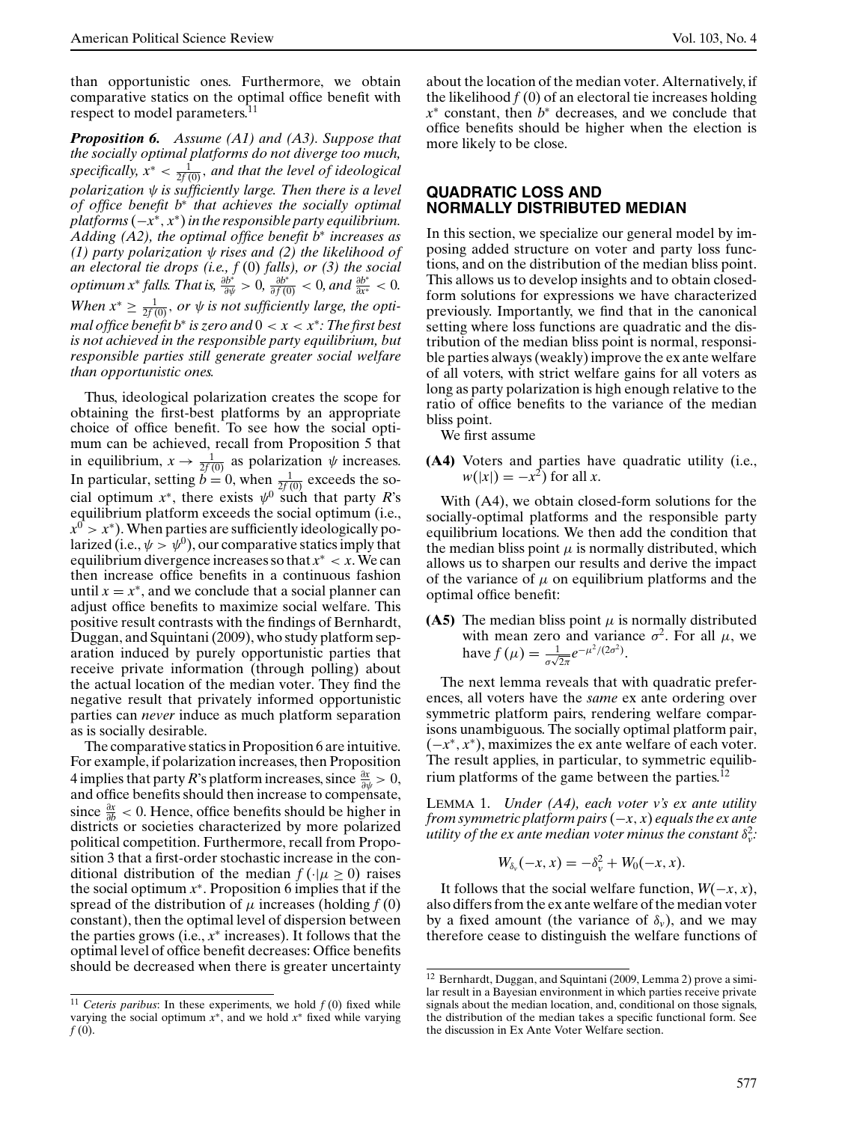than opportunistic ones. Furthermore, we obtain comparative statics on the optimal office benefit with respect to model parameters.<sup>11</sup>

*Proposition 6. Assume (A1) and (A3). Suppose that the socially optimal platforms do not diverge too much, specifically, x*<sup>∗</sup> *<* <sup>1</sup> <sup>2</sup>*<sup>f</sup>* (0)*, and that the level of ideological polarization ψ is sufficiently large. Then there is a level of office benefit b*<sup>∗</sup> *that achieves the socially optimal platforms*  $(-x^*, x^*)$  *in the responsible party equilibrium. Adding (A2), the optimal office benefit b*<sup>∗</sup> *increases as (1) party polarization ψ rises and (2) the likelihood of an electoral tie drops (i.e., f* (0) *falls), or (3) the social optimum x<sup>∗</sup> falls. That is,*  $\frac{\partial b^*}{\partial \psi} > 0$ ,  $\frac{\partial b^*}{\partial f(0)} < 0$ , and  $\frac{\partial b^*}{\partial x^*} < 0$ . *When*  $x^* \geq \frac{1}{2f(0)}$ , *or*  $\psi$  *is not sufficiently large, the optimal office benefit b<sup>\*</sup> <i>is zero and*  $0 < x < x^*$ *: The first best is not achieved in the responsible party equilibrium, but responsible parties still generate greater social welfare than opportunistic ones.*

Thus, ideological polarization creates the scope for obtaining the first-best platforms by an appropriate choice of office benefit. To see how the social optimum can be achieved, recall from Proposition 5 that in equilibrium,  $x \to \frac{1}{2f(0)}$  as polarization  $\psi$  increases. In particular, setting  $\vec{b} = 0$ , when  $\frac{1}{2f(0)}$  exceeds the social optimum  $x^*$ , there exists  $\psi^0$  such that party *R*'s equilibrium platform exceeds the social optimum (i.e.,  $x^0 > x^*$ ). When parties are sufficiently ideologically polarized (i.e.,  $\psi > \psi^0$ ), our comparative statics imply that equilibrium divergence increases so that  $x^* < x$ . We can then increase office benefits in a continuous fashion until  $x = x^*$ , and we conclude that a social planner can adjust office benefits to maximize social welfare. This positive result contrasts with the findings of Bernhardt, Duggan, and Squintani (2009), who study platform separation induced by purely opportunistic parties that receive private information (through polling) about the actual location of the median voter. They find the negative result that privately informed opportunistic parties can *never* induce as much platform separation as is socially desirable.

The comparative statics in Proposition 6 are intuitive. For example, if polarization increases, then Proposition 4 implies that party *R*'s platform increases, since  $\frac{\partial x}{\partial \psi} > 0$ , and office benefits should then increase to compensate, since  $\frac{\partial x}{\partial b}$  < 0. Hence, office benefits should be higher in districts or societies characterized by more polarized political competition. Furthermore, recall from Proposition 3 that a first-order stochastic increase in the conditional distribution of the median  $f(\cdot | \mu \ge 0)$  raises the social optimum *x*<sup>∗</sup>. Proposition 6 implies that if the spread of the distribution of  $\mu$  increases (holding  $f(0)$ ) constant), then the optimal level of dispersion between the parties grows (i.e.,  $x^*$  increases). It follows that the optimal level of office benefit decreases: Office benefits should be decreased when there is greater uncertainty about the location of the median voter. Alternatively, if the likelihood *f* (0) of an electoral tie increases holding *x*<sup>∗</sup> constant, then *b*<sup>∗</sup> decreases, and we conclude that office benefits should be higher when the election is more likely to be close.

# **QUADRATIC LOSS AND NORMALLY DISTRIBUTED MEDIAN**

In this section, we specialize our general model by imposing added structure on voter and party loss functions, and on the distribution of the median bliss point. This allows us to develop insights and to obtain closedform solutions for expressions we have characterized previously. Importantly, we find that in the canonical setting where loss functions are quadratic and the distribution of the median bliss point is normal, responsible parties always (weakly) improve the ex ante welfare of all voters, with strict welfare gains for all voters as long as party polarization is high enough relative to the ratio of office benefits to the variance of the median bliss point.

We first assume

**(A4)** Voters and parties have quadratic utility (i.e.,  $w(|x|) = -x^2$  for all *x*.

With (A4), we obtain closed-form solutions for the socially-optimal platforms and the responsible party equilibrium locations. We then add the condition that the median bliss point  $\mu$  is normally distributed, which allows us to sharpen our results and derive the impact of the variance of  $\mu$  on equilibrium platforms and the optimal office benefit:

**(A5)** The median bliss point  $\mu$  is normally distributed with mean zero and variance  $\sigma^2$ . For all  $\mu$ , we have  $f(\mu) = \frac{1}{\sigma \sqrt{2\pi}} e^{-\mu^2/(2\sigma^2)}$ .

The next lemma reveals that with quadratic preferences, all voters have the *same* ex ante ordering over symmetric platform pairs, rendering welfare comparisons unambiguous. The socially optimal platform pair, (−*x*<sup>∗</sup>*, x*<sup>∗</sup>), maximizes the ex ante welfare of each voter. The result applies, in particular, to symmetric equilibrium platforms of the game between the parties. $^{12}$ 

LEMMA 1. *Under (A4), each voter v's ex ante utility from symmetric platform pairs*(−*x, x*) *equals the ex ante utility of the ex ante median voter minus the constant*  $\delta_v^2$ :

$$
W_{\delta_{\nu}}(-x,x) = -\delta_{\nu}^2 + W_0(-x,x).
$$

It follows that the social welfare function,  $W(-x, x)$ , also differs from the ex ante welfare of the median voter by a fixed amount (the variance of  $\delta$ <sup>*v*</sup>), and we may therefore cease to distinguish the welfare functions of

<sup>&</sup>lt;sup>11</sup> *Ceteris paribus*: In these experiments, we hold  $f(0)$  fixed while varying the social optimum *x*∗, and we hold *x*<sup>∗</sup> fixed while varying *f* (0).

<sup>12</sup> Bernhardt, Duggan, and Squintani (2009, Lemma 2) prove a similar result in a Bayesian environment in which parties receive private signals about the median location, and, conditional on those signals, the distribution of the median takes a specific functional form. See the discussion in Ex Ante Voter Welfare section.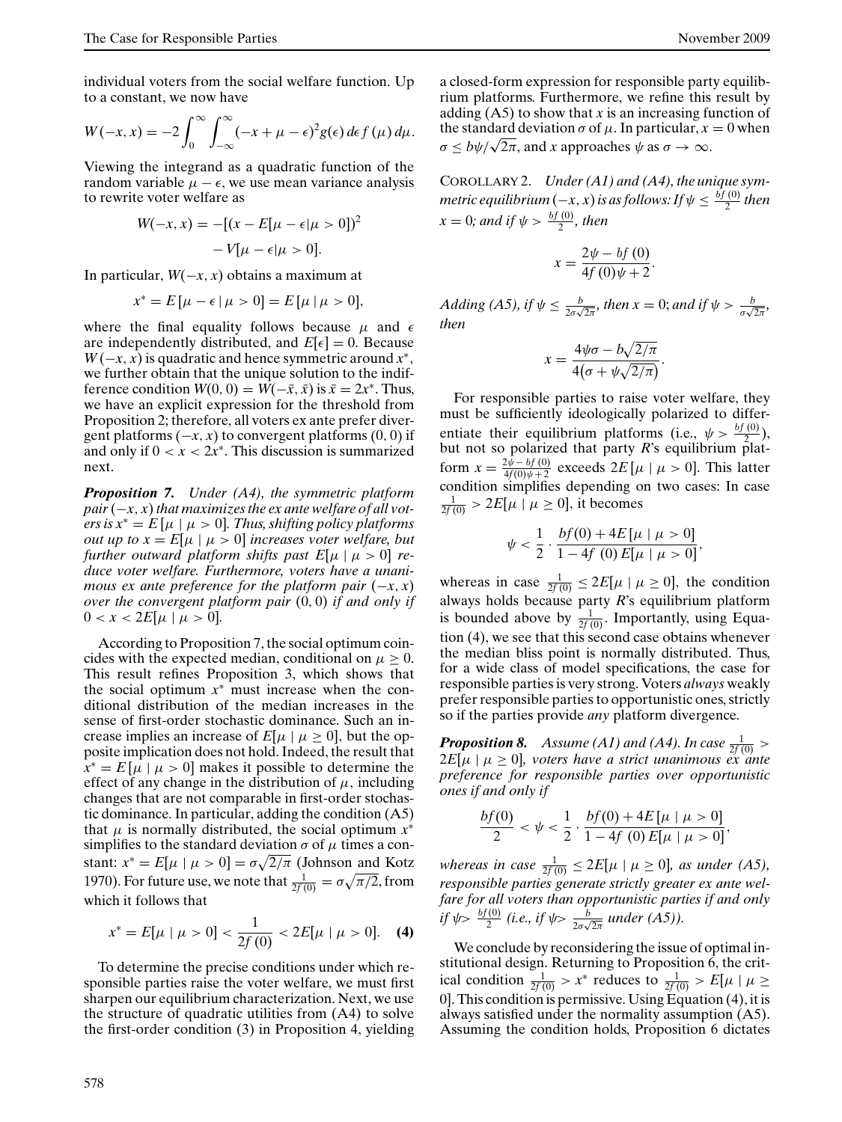individual voters from the social welfare function. Up to a constant, we now have

$$
W(-x, x) = -2 \int_0^{\infty} \int_{-\infty}^{\infty} (-x + \mu - \epsilon)^2 g(\epsilon) d\epsilon f(\mu) d\mu.
$$

Viewing the integrand as a quadratic function of the random variable  $\mu - \epsilon$ , we use mean variance analysis to rewrite voter welfare as

$$
W(-x, x) = -[(x - E[\mu - \epsilon | \mu > 0])^{2} - V[\mu - \epsilon | \mu > 0].
$$

In particular, *W*(−*x, x*) obtains a maximum at

$$
x^* = E[\mu - \epsilon | \mu > 0] = E[\mu | \mu > 0],
$$

where the final equality follows because  $\mu$  and  $\epsilon$ are independently distributed, and  $E[\epsilon] = 0$ . Because  $W(-x, x)$  is quadratic and hence symmetric around  $x^*$ , we further obtain that the unique solution to the indifference condition  $W(0, 0) = W(-\bar{x}, \bar{x})$  is  $\bar{x} = 2x^*$ . Thus, we have an explicit expression for the threshold from Proposition 2; therefore, all voters ex ante prefer divergent platforms (−*x, x*) to convergent platforms (0*,* 0) if and only if  $0 < x < 2x^*$ . This discussion is summarized next.

*Proposition 7. Under (A4), the symmetric platform pair*(−*x, x*)*that maximizes the ex ante welfare of all voters is*  $x^* = E[\mu | \mu > 0]$ *. Thus, shifting policy platforms out up to*  $x = E[\mu | \mu > 0]$  *increases voter welfare, but further outward platform shifts past*  $E[\mu | \mu > 0]$  *reduce voter welfare. Furthermore, voters have a unanimous ex ante preference for the platform pair*  $(-x, x)$ *over the convergent platform pair* (0*,* 0) *if and only if*  $0 < x < 2E[\mu | \mu > 0].$ 

According to Proposition 7, the social optimum coincides with the expected median, conditional on  $\mu \geq 0$ . This result refines Proposition 3, which shows that the social optimum *x*<sup>∗</sup> must increase when the conditional distribution of the median increases in the sense of first-order stochastic dominance. Such an increase implies an increase of  $E[\mu | \mu \ge 0]$ , but the opposite implication does not hold. Indeed, the result that  $x^* = E[\mu | \mu > 0]$  makes it possible to determine the effect of any change in the distribution of  $\mu$ , including changes that are not comparable in first-order stochastic dominance. In particular, adding the condition (A5) that  $\mu$  is normally distributed, the social optimum  $x^*$ simplifies to the standard deviation  $\sigma$  of  $\mu$  times a constant:  $x^* = E[\mu | \mu > 0] = \sigma \sqrt{2/\pi}$  (Johnson and Kotz 1970). For future use, we note that  $\frac{1}{2f(0)} = \sigma \sqrt{\pi/2}$ , from which it follows that

$$
x^* = E[\mu \mid \mu > 0] < \frac{1}{2f(0)} < 2E[\mu \mid \mu > 0]. \tag{4}
$$

To determine the precise conditions under which responsible parties raise the voter welfare, we must first sharpen our equilibrium characterization. Next, we use the structure of quadratic utilities from (A4) to solve the first-order condition (3) in Proposition 4, yielding a closed-form expression for responsible party equilibrium platforms. Furthermore, we refine this result by adding (A5) to show that *x* is an increasing function of the standard deviation  $\sigma$  of  $\mu$ . In particular,  $x = 0$  when  $\sigma \leq b\psi/\sqrt{2\pi}$ , and *x* approaches  $\psi$  as  $\sigma \to \infty$ .

COROLLARY 2. *Under (A1) and (A4), the unique sym-* $\textit{metric equilibrium}(-x, x) \textit{is as follows:} If \psi \leq \frac{bf(0)}{2} \textit{then}$  $x = 0$ *; and if*  $\psi > \frac{bf(0)}{2}$ *, then* 

$$
x = \frac{2\psi - bf(0)}{4f(0)\psi + 2}.
$$

*Adding* (*A5*), *if*  $\psi \leq \frac{b}{2\sigma\sqrt{2\pi}}$ , *then*  $x = 0$ ; *and if*  $\psi > \frac{b}{\sigma\sqrt{2\pi}}$ , *then*

$$
x = \frac{4\psi\sigma - b\sqrt{2/\pi}}{4(\sigma + \psi\sqrt{2/\pi})}.
$$

For responsible parties to raise voter welfare, they must be sufficiently ideologically polarized to differentiate their equilibrium platforms (i.e.,  $\psi > \frac{bf(0)}{2}$ ), but not so polarized that party *R*'s equilibrium platform  $x = \frac{2\psi - bf(0)}{4f(0)\psi + 2}$  exceeds  $2E[\mu | \mu > 0]$ . This latter condition simplifies depending on two cases: In case  $\frac{1}{2f(0)}$  > 2*E*[ $\mu \mid \mu \ge 0$ ], it becomes

$$
\psi < \frac{1}{2} \cdot \frac{bf(0) + 4E[\mu | \mu > 0]}{1 - 4f(0)E[\mu | \mu > 0]},
$$

whereas in case  $\frac{1}{2f(0)} \leq 2E[\mu \mid \mu \geq 0]$ , the condition always holds because party *R*'s equilibrium platform is bounded above by  $\frac{1}{2f(0)}$ . Importantly, using Equation (4), we see that this second case obtains whenever the median bliss point is normally distributed. Thus, for a wide class of model specifications, the case for responsible parties is very strong. Voters *always* weakly prefer responsible parties to opportunistic ones, strictly so if the parties provide *any* platform divergence.

**Proposition 8.** Assume (A1) and (A4). In case  $\frac{1}{2f(0)}$  >  $2E[\mu | \mu \ge 0]$ , voters have a strict unanimous ex ante *preference for responsible parties over opportunistic ones if and only if*

$$
\frac{bf(0)}{2} < \psi < \frac{1}{2} \cdot \frac{bf(0) + 4E[\mu | \mu > 0]}{1 - 4f(0)E[\mu | \mu > 0]},
$$

*whereas in case*  $\frac{1}{2f(0)} \leq 2E[\mu \mid \mu \geq 0]$ *, as under (A5)*, *responsible parties generate strictly greater ex ante welfare for all voters than opportunistic parties if and only if*  $\psi$  >  $\frac{bf(0)}{2}$  (*i.e., if*  $\psi$  >  $\frac{b}{2\sigma\sqrt{2\pi}}$  *under* (A5)).

We conclude by reconsidering the issue of optimal institutional design. Returning to Proposition 6, the critical condition  $\frac{1}{2f(0)} > x^*$  reduces to  $\frac{1}{2f(0)} > E[\mu | \mu \ge$ 0]. This condition is permissive. Using Equation (4), it is always satisfied under the normality assumption (A5). Assuming the condition holds, Proposition 6 dictates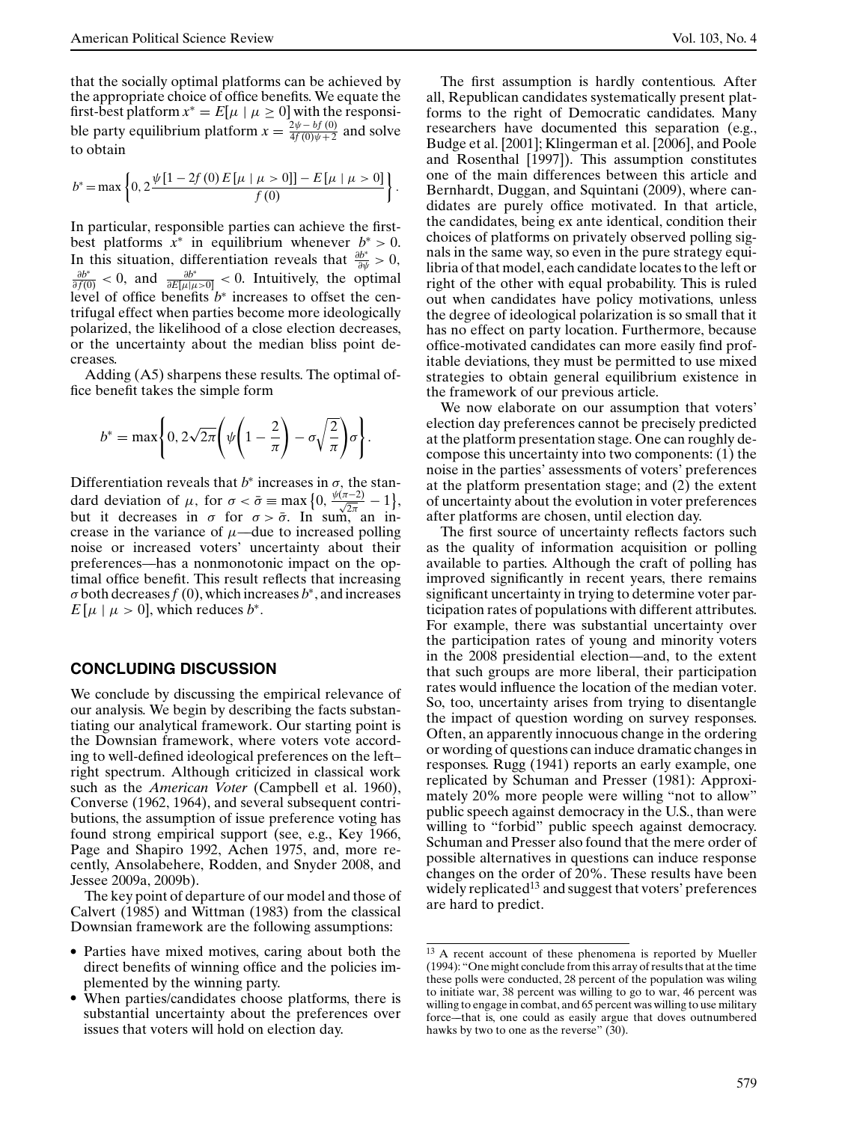that the socially optimal platforms can be achieved by the appropriate choice of office benefits. We equate the first-best platform  $x^* = E[\mu | \mu \ge 0]$  with the responsible party equilibrium platform  $x = \frac{2\psi - bf(0)}{4f(0)\psi + 2}$  and solve to obtain

$$
b^* = \max\left\{0, 2\frac{\psi[1 - 2f(0)E[\mu | \mu > 0]] - E[\mu | \mu > 0]}{f(0)}\right\}.
$$

In particular, responsible parties can achieve the firstbest platforms  $x^*$  in equilibrium whenever  $b^* > 0$ . In this situation, differentiation reveals that  $\frac{\partial b^*}{\partial \psi} > 0$ ,  $\frac{\partial b^*}{\partial y} > 0$ , and  $\frac{\partial b^*}{\partial y} > 0$ . Intuitively, the optimal  $\frac{\partial b^*}{\partial f(0)}$  < 0, and  $\frac{\partial b^*}{\partial E[\mu|\mu>0]}$  < 0. Intuitively, the optimal level of office benefits  $b^*$  increases to offset the centrifugal effect when parties become more ideologically polarized, the likelihood of a close election decreases, or the uncertainty about the median bliss point decreases.

Adding (A5) sharpens these results. The optimal office benefit takes the simple form

$$
b^* = \max\left\{0, 2\sqrt{2\pi}\left(\psi\left(1-\frac{2}{\pi}\right) - \sigma\sqrt{\frac{2}{\pi}}\right)\sigma\right\}.
$$

Differentiation reveals that  $b^*$  increases in  $\sigma$ , the standard deviation of  $\mu$ , for  $\sigma < \bar{\sigma} \equiv \max_{\tau} \{0, \frac{\psi(\pi - 2)}{\sqrt{2\pi}} - 1\},\$ but it decreases in *σ* for  $σ > \bar{σ}$ . In sum, an increase in the variance of  $\mu$ —due to increased polling noise or increased voters' uncertainty about their preferences—–has a nonmonotonic impact on the optimal office benefit. This result reflects that increasing *σ* both decreases*f* (0), which increases *b*<sup>∗</sup>, and increases  $E[\mu | \mu > 0]$ , which reduces  $b^*$ .

#### **CONCLUDING DISCUSSION**

We conclude by discussing the empirical relevance of our analysis. We begin by describing the facts substantiating our analytical framework. Our starting point is the Downsian framework, where voters vote according to well-defined ideological preferences on the left– right spectrum. Although criticized in classical work such as the *American Voter* (Campbell et al. 1960), Converse (1962, 1964), and several subsequent contributions, the assumption of issue preference voting has found strong empirical support (see, e.g., Key 1966, Page and Shapiro 1992, Achen 1975, and, more recently, Ansolabehere, Rodden, and Snyder 2008, and Jessee 2009a, 2009b).

The key point of departure of our model and those of Calvert (1985) and Wittman (1983) from the classical Downsian framework are the following assumptions:

- Parties have mixed motives, caring about both the direct benefits of winning office and the policies implemented by the winning party.
- When parties/candidates choose platforms, there is substantial uncertainty about the preferences over issues that voters will hold on election day.

The first assumption is hardly contentious. After all, Republican candidates systematically present platforms to the right of Democratic candidates. Many researchers have documented this separation (e.g., Budge et al. [2001]; Klingerman et al. [2006], and Poole and Rosenthal [1997]). This assumption constitutes one of the main differences between this article and Bernhardt, Duggan, and Squintani (2009), where candidates are purely office motivated. In that article, the candidates, being ex ante identical, condition their choices of platforms on privately observed polling signals in the same way, so even in the pure strategy equilibria of that model, each candidate locates to the left or right of the other with equal probability. This is ruled out when candidates have policy motivations, unless the degree of ideological polarization is so small that it has no effect on party location. Furthermore, because office-motivated candidates can more easily find profitable deviations, they must be permitted to use mixed strategies to obtain general equilibrium existence in the framework of our previous article.

We now elaborate on our assumption that voters' election day preferences cannot be precisely predicted at the platform presentation stage. One can roughly decompose this uncertainty into two components: (1) the noise in the parties' assessments of voters' preferences at the platform presentation stage; and (2) the extent of uncertainty about the evolution in voter preferences after platforms are chosen, until election day.

The first source of uncertainty reflects factors such as the quality of information acquisition or polling available to parties. Although the craft of polling has improved significantly in recent years, there remains significant uncertainty in trying to determine voter participation rates of populations with different attributes. For example, there was substantial uncertainty over the participation rates of young and minority voters in the 2008 presidential election—–and, to the extent that such groups are more liberal, their participation rates would influence the location of the median voter. So, too, uncertainty arises from trying to disentangle the impact of question wording on survey responses. Often, an apparently innocuous change in the ordering or wording of questions can induce dramatic changes in responses. Rugg (1941) reports an early example, one replicated by Schuman and Presser (1981): Approximately 20% more people were willing "not to allow" public speech against democracy in the U.S., than were willing to "forbid" public speech against democracy. Schuman and Presser also found that the mere order of possible alternatives in questions can induce response changes on the order of 20%. These results have been widely replicated<sup>13</sup> and suggest that voters' preferences are hard to predict.

<sup>&</sup>lt;sup>13</sup> A recent account of these phenomena is reported by Mueller (1994): "One might conclude from this array of results that at the time these polls were conducted, 28 percent of the population was wiling to initiate war, 38 percent was willing to go to war, 46 percent was willing to engage in combat, and 65 percent was willing to use military force—–that is, one could as easily argue that doves outnumbered hawks by two to one as the reverse" (30).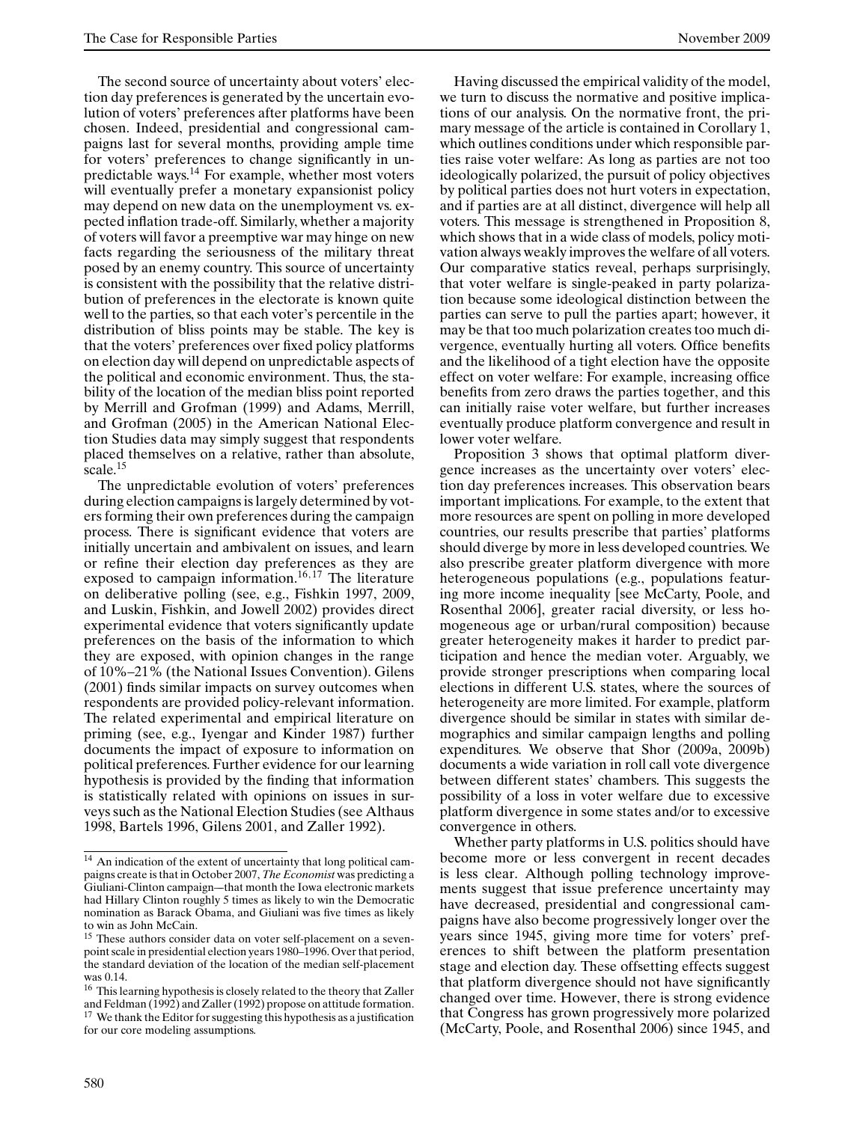The second source of uncertainty about voters' election day preferences is generated by the uncertain evolution of voters' preferences after platforms have been chosen. Indeed, presidential and congressional campaigns last for several months, providing ample time for voters' preferences to change significantly in unpredictable ways.<sup>14</sup> For example, whether most voters will eventually prefer a monetary expansionist policy may depend on new data on the unemployment vs. expected inflation trade-off. Similarly, whether a majority of voters will favor a preemptive war may hinge on new facts regarding the seriousness of the military threat posed by an enemy country. This source of uncertainty is consistent with the possibility that the relative distribution of preferences in the electorate is known quite well to the parties, so that each voter's percentile in the distribution of bliss points may be stable. The key is that the voters' preferences over fixed policy platforms on election day will depend on unpredictable aspects of the political and economic environment. Thus, the stability of the location of the median bliss point reported by Merrill and Grofman (1999) and Adams, Merrill, and Grofman (2005) in the American National Election Studies data may simply suggest that respondents placed themselves on a relative, rather than absolute, scale.<sup>15</sup>

The unpredictable evolution of voters' preferences during election campaigns is largely determined by voters forming their own preferences during the campaign process. There is significant evidence that voters are initially uncertain and ambivalent on issues, and learn or refine their election day preferences as they are exposed to campaign information.<sup>16</sup>*,*<sup>17</sup> The literature on deliberative polling (see, e.g., Fishkin 1997, 2009, and Luskin, Fishkin, and Jowell 2002) provides direct experimental evidence that voters significantly update preferences on the basis of the information to which they are exposed, with opinion changes in the range of 10%–21% (the National Issues Convention). Gilens (2001) finds similar impacts on survey outcomes when respondents are provided policy-relevant information. The related experimental and empirical literature on priming (see, e.g., Iyengar and Kinder 1987) further documents the impact of exposure to information on political preferences. Further evidence for our learning hypothesis is provided by the finding that information is statistically related with opinions on issues in surveys such as the National Election Studies (see Althaus 1998, Bartels 1996, Gilens 2001, and Zaller 1992).

Having discussed the empirical validity of the model, we turn to discuss the normative and positive implications of our analysis. On the normative front, the primary message of the article is contained in Corollary 1, which outlines conditions under which responsible parties raise voter welfare: As long as parties are not too ideologically polarized, the pursuit of policy objectives by political parties does not hurt voters in expectation, and if parties are at all distinct, divergence will help all voters. This message is strengthened in Proposition 8, which shows that in a wide class of models, policy motivation always weakly improves the welfare of all voters. Our comparative statics reveal, perhaps surprisingly, that voter welfare is single-peaked in party polarization because some ideological distinction between the parties can serve to pull the parties apart; however, it may be that too much polarization creates too much divergence, eventually hurting all voters. Office benefits and the likelihood of a tight election have the opposite effect on voter welfare: For example, increasing office benefits from zero draws the parties together, and this can initially raise voter welfare, but further increases eventually produce platform convergence and result in lower voter welfare.

Proposition 3 shows that optimal platform divergence increases as the uncertainty over voters' election day preferences increases. This observation bears important implications. For example, to the extent that more resources are spent on polling in more developed countries, our results prescribe that parties' platforms should diverge by more in less developed countries. We also prescribe greater platform divergence with more heterogeneous populations (e.g., populations featuring more income inequality [see McCarty, Poole, and Rosenthal 2006], greater racial diversity, or less homogeneous age or urban/rural composition) because greater heterogeneity makes it harder to predict participation and hence the median voter. Arguably, we provide stronger prescriptions when comparing local elections in different U.S. states, where the sources of heterogeneity are more limited. For example, platform divergence should be similar in states with similar demographics and similar campaign lengths and polling expenditures. We observe that Shor (2009a, 2009b) documents a wide variation in roll call vote divergence between different states' chambers. This suggests the possibility of a loss in voter welfare due to excessive platform divergence in some states and/or to excessive convergence in others.

Whether party platforms in U.S. politics should have become more or less convergent in recent decades is less clear. Although polling technology improvements suggest that issue preference uncertainty may have decreased, presidential and congressional campaigns have also become progressively longer over the years since 1945, giving more time for voters' preferences to shift between the platform presentation stage and election day. These offsetting effects suggest that platform divergence should not have significantly changed over time. However, there is strong evidence that Congress has grown progressively more polarized (McCarty, Poole, and Rosenthal 2006) since 1945, and

<sup>&</sup>lt;sup>14</sup> An indication of the extent of uncertainty that long political campaigns create is that in October 2007, *The Economist* was predicting a Giuliani-Clinton campaign—–that month the Iowa electronic markets had Hillary Clinton roughly 5 times as likely to win the Democratic nomination as Barack Obama, and Giuliani was five times as likely to win as John McCain.

<sup>&</sup>lt;sup>15</sup> These authors consider data on voter self-placement on a sevenpoint scale in presidential election years 1980–1996. Over that period, the standard deviation of the location of the median self-placement was 0.14.

<sup>&</sup>lt;sup>16</sup> This learning hypothesis is closely related to the theory that Zaller and Feldman (1992) and Zaller (1992) propose on attitude formation.

<sup>&</sup>lt;sup>17</sup> We thank the Editor for suggesting this hypothesis as a justification for our core modeling assumptions.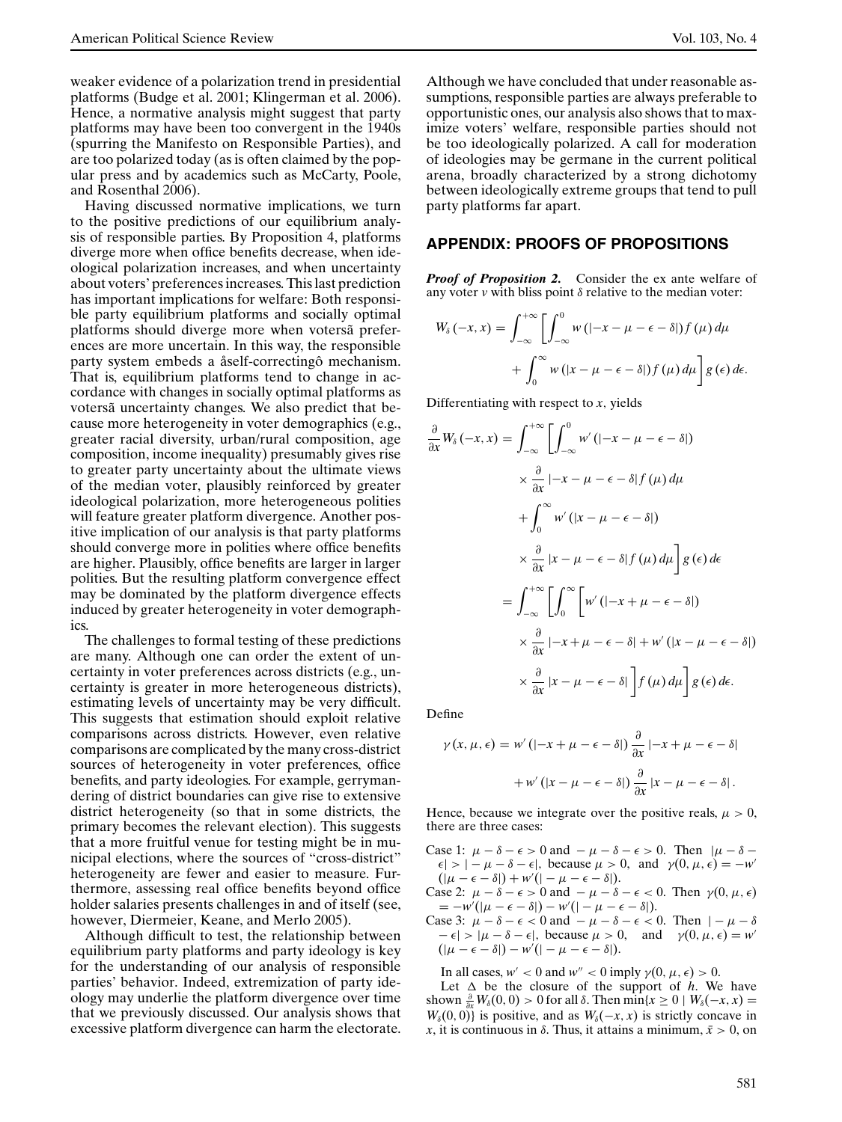weaker evidence of a polarization trend in presidential platforms (Budge et al. 2001; Klingerman et al. 2006). Hence, a normative analysis might suggest that party platforms may have been too convergent in the 1940s (spurring the Manifesto on Responsible Parties), and are too polarized today (as is often claimed by the popular press and by academics such as McCarty, Poole, and Rosenthal 2006).

Having discussed normative implications, we turn to the positive predictions of our equilibrium analysis of responsible parties. By Proposition 4, platforms diverge more when office benefits decrease, when ideological polarization increases, and when uncertainty about voters' preferences increases. This last prediction has important implications for welfare: Both responsible party equilibrium platforms and socially optimal platforms should diverge more when votersa preferences are more uncertain. In this way, the responsible party system embeds a åself-correctingô mechanism. That is, equilibrium platforms tend to change in accordance with changes in socially optimal platforms as votersa uncertainty changes. We also predict that because more heterogeneity in voter demographics (e.g., greater racial diversity, urban/rural composition, age composition, income inequality) presumably gives rise to greater party uncertainty about the ultimate views of the median voter, plausibly reinforced by greater ideological polarization, more heterogeneous polities will feature greater platform divergence. Another positive implication of our analysis is that party platforms should converge more in polities where office benefits are higher. Plausibly, office benefits are larger in larger polities. But the resulting platform convergence effect may be dominated by the platform divergence effects induced by greater heterogeneity in voter demographics.

The challenges to formal testing of these predictions are many. Although one can order the extent of uncertainty in voter preferences across districts (e.g., uncertainty is greater in more heterogeneous districts), estimating levels of uncertainty may be very difficult. This suggests that estimation should exploit relative comparisons across districts. However, even relative comparisons are complicated by the many cross-district sources of heterogeneity in voter preferences, office benefits, and party ideologies. For example, gerrymandering of district boundaries can give rise to extensive district heterogeneity (so that in some districts, the primary becomes the relevant election). This suggests that a more fruitful venue for testing might be in municipal elections, where the sources of "cross-district" heterogeneity are fewer and easier to measure. Furthermore, assessing real office benefits beyond office holder salaries presents challenges in and of itself (see, however, Diermeier, Keane, and Merlo 2005).

Although difficult to test, the relationship between equilibrium party platforms and party ideology is key for the understanding of our analysis of responsible parties' behavior. Indeed, extremization of party ideology may underlie the platform divergence over time that we previously discussed. Our analysis shows that excessive platform divergence can harm the electorate.

Although we have concluded that under reasonable assumptions, responsible parties are always preferable to opportunistic ones, our analysis also shows that to maximize voters' welfare, responsible parties should not be too ideologically polarized. A call for moderation of ideologies may be germane in the current political arena, broadly characterized by a strong dichotomy between ideologically extreme groups that tend to pull party platforms far apart.

# **APPENDIX: PROOFS OF PROPOSITIONS**

*Proof of Proposition 2.* Consider the ex ante welfare of any voter *v* with bliss point *δ* relative to the median voter:

$$
W_{\delta}(-x,x) = \int_{-\infty}^{+\infty} \left[ \int_{-\infty}^{0} w \left( [-x - \mu - \epsilon - \delta] \right) f(\mu) d\mu \right. \\ + \int_{0}^{\infty} w \left( [x - \mu - \epsilon - \delta] \right) f(\mu) d\mu \right] g(\epsilon) d\epsilon.
$$

Differentiating with respect to *x,* yields

$$
\frac{\partial}{\partial x} W_{\delta}(-x, x) = \int_{-\infty}^{+\infty} \left[ \int_{-\infty}^{0} w'(|-x - \mu - \epsilon - \delta|)
$$
\n
$$
\times \frac{\partial}{\partial x} | -x - \mu - \epsilon - \delta| f(\mu) d\mu
$$
\n
$$
+ \int_{0}^{\infty} w'(|x - \mu - \epsilon - \delta|)
$$
\n
$$
\times \frac{\partial}{\partial x} |x - \mu - \epsilon - \delta| f(\mu) d\mu \right] g(\epsilon) d\epsilon
$$
\n
$$
= \int_{-\infty}^{+\infty} \left[ \int_{0}^{\infty} \left[ w'(|-x + \mu - \epsilon - \delta|)
$$
\n
$$
\times \frac{\partial}{\partial x} |-x + \mu - \epsilon - \delta| + w'(|x - \mu - \epsilon - \delta|)
$$
\n
$$
\times \frac{\partial}{\partial x} |x - \mu - \epsilon - \delta| \right] f(\mu) d\mu \right] g(\epsilon) d\epsilon.
$$

Define

$$
\gamma(x, \mu, \epsilon) = w'(|-x + \mu - \epsilon - \delta|) \frac{\partial}{\partial x} | -x + \mu - \epsilon - \delta|
$$

$$
+ w'(|x - \mu - \epsilon - \delta|) \frac{\partial}{\partial x} |x - \mu - \epsilon - \delta|.
$$

Hence, because we integrate over the positive reals,  $\mu > 0$ , there are three cases:

- Case 1:  $\mu \delta \epsilon > 0$  and  $-\mu \delta \epsilon > 0$ . Then  $|\mu \delta \epsilon|$  $|\epsilon| > |- \mu - \delta - \epsilon|$ , because  $\mu > 0$ , and  $\gamma(0, \mu, \epsilon) = -w'$  $(|\mu - \epsilon - \delta|) + w'(|-\mu - \epsilon - \delta|).$
- Case 2:  $\mu \delta \epsilon > 0$  and  $-\mu \delta \epsilon < 0$ . Then  $\gamma(0, \mu, \epsilon)$  $= -w'(|\mu - \epsilon - \delta|) - w'(| - \mu - \epsilon - \delta|).$
- Case 3:  $\mu \delta \epsilon < 0$  and  $-\mu \delta \epsilon < 0$ . Then  $|-\mu \delta|$  $- \epsilon$  >  $|\mu - \delta - \epsilon|$ , because  $\mu > 0$ , and  $\gamma(0, \mu, \epsilon) = w'$  $(|\mu - \epsilon - \delta|) - w'(| - \mu - \epsilon - \delta|).$

In all cases,  $w' < 0$  and  $w'' < 0$  imply  $\gamma(0, \mu, \epsilon) > 0$ .

Let  $\Delta$  be the closure of the support of *h*. We have shown  $\frac{\partial}{\partial x}W_\delta(0,0) > 0$  for all  $\delta$ . Then min{ $x \ge 0 \mid W_\delta(-x, x) =$  $W$ <sup> $<sub>δ</sub>(0, 0)$ } is positive, and as  $W$ <sup> $<sub>δ</sub>(-x, x)$  is strictly concave in</sup></sub></sup></sub>  $x$ , it is continuous in  $\delta$ . Thus, it attains a minimum,  $\bar{x} > 0$ , on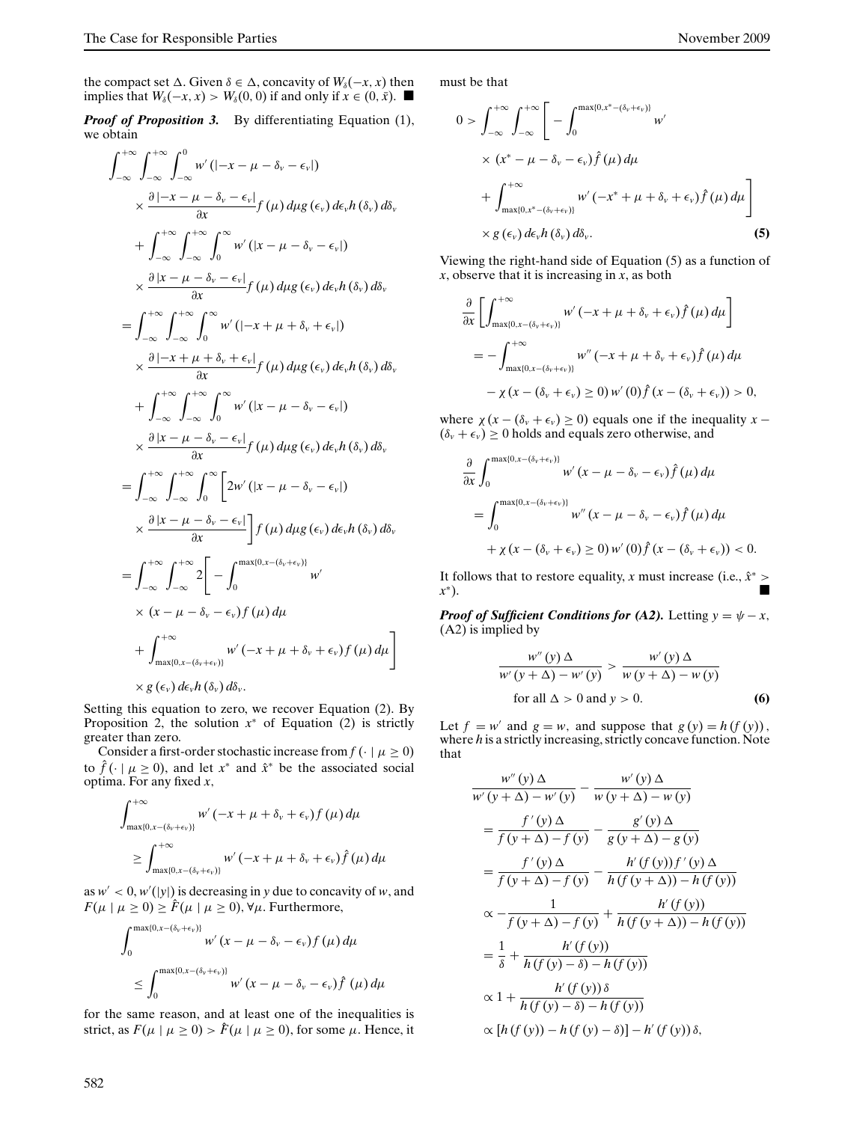the compact set  $\Delta$ . Given  $\delta \in \Delta$ , concavity of  $W_{\delta}(-x, x)$  then implies that  $W_\delta(-x, x) > W_\delta(0, 0)$  if and only if  $x \in (0, \bar{x})$ . ■

*Proof of Proposition 3.* By differentiating Equation (1), we obtain

$$
\int_{-\infty}^{+\infty} \int_{-\infty}^{+\infty} \int_{-\infty}^{0} w' (|\,-x - \mu - \delta_{\nu} - \epsilon_{\nu}|)
$$
  
\n
$$
\times \frac{\partial |\,-x - \mu - \delta_{\nu} - \epsilon_{\nu}|}{\partial x} f (\mu) d\mu g (\epsilon_{\nu}) d\epsilon_{\nu} h (\delta_{\nu}) d\delta_{\nu}
$$
  
\n
$$
+ \int_{-\infty}^{+\infty} \int_{-\infty}^{+\infty} \int_{0}^{\infty} w' (|\,x - \mu - \delta_{\nu} - \epsilon_{\nu}|)
$$
  
\n
$$
\times \frac{\partial |\,x - \mu - \delta_{\nu} - \epsilon_{\nu}|}{\partial x} f (\mu) d\mu g (\epsilon_{\nu}) d\epsilon_{\nu} h (\delta_{\nu}) d\delta_{\nu}
$$
  
\n
$$
= \int_{-\infty}^{+\infty} \int_{-\infty}^{+\infty} \int_{0}^{\infty} w' (|\,-x + \mu + \delta_{\nu} + \epsilon_{\nu}|)
$$
  
\n
$$
\times \frac{\partial |\,-x + \mu + \delta_{\nu} + \epsilon_{\nu}|}{\partial x} f (\mu) d\mu g (\epsilon_{\nu}) d\epsilon_{\nu} h (\delta_{\nu}) d\delta_{\nu}
$$
  
\n
$$
+ \int_{-\infty}^{+\infty} \int_{-\infty}^{+\infty} \int_{0}^{\infty} w' (|\,x - \mu - \delta_{\nu} - \epsilon_{\nu}|)
$$
  
\n
$$
\times \frac{\partial |\,x - \mu - \delta_{\nu} - \epsilon_{\nu}|}{\partial x} f (\mu) d\mu g (\epsilon_{\nu}) d\epsilon_{\nu} h (\delta_{\nu}) d\delta_{\nu}
$$
  
\n
$$
= \int_{-\infty}^{+\infty} \int_{-\infty}^{+\infty} \int_{0}^{\infty} \left[ 2w' (|\,x - \mu - \delta_{\nu} - \epsilon_{\nu}|) \right]
$$
  
\n
$$
\times \frac{\partial |\,x - \mu - \delta_{\nu} - \epsilon_{\nu}|}{\partial x} \right] f (\mu) d\mu g (\epsilon_{\nu}) d\epsilon_{\nu} h (\delta_{\nu}) d\delta_{\nu}
$$
  
\n
$$
= \int_{-\infty}^{+\infty} \int_{-\infty}
$$

Setting this equation to zero, we recover Equation (2). By Proposition 2, the solution  $x^*$  of Equation (2) is strictly greater than zero.

Consider a first-order stochastic increase from  $f(\cdot | \mu \ge 0)$ to  $\hat{f}(\cdot | \mu \ge 0)$ , and let  $x^*$  and  $\hat{x}^*$  be the associated social optima. For any fixed *x,*

$$
\int_{\max\{0,x-(\delta_v+\epsilon_v)\}}^{+\infty} w'(-x+\mu+\delta_v+\epsilon_v) f(\mu) d\mu
$$
  
\n
$$
\geq \int_{\max\{0,x-(\delta_v+\epsilon_v)\}}^{+\infty} w'(-x+\mu+\delta_v+\epsilon_v) \hat{f}(\mu) d\mu
$$

as  $w' < 0$ ,  $w'(|y|)$  is decreasing in *y* due to concavity of *w*, and  $F(\mu | \mu \ge 0) \ge \hat{F}(\mu | \mu \ge 0)$ ,  $\forall \mu$ . Furthermore,

$$
\int_0^{\max\{0, x - (\delta_v + \epsilon_v)\}} w'(x - \mu - \delta_v - \epsilon_v) f(\mu) d\mu
$$
  

$$
\leq \int_0^{\max\{0, x - (\delta_v + \epsilon_v)\}} w'(x - \mu - \delta_v - \epsilon_v) \hat{f}(\mu) d\mu
$$

for the same reason, and at least one of the inequalities is strict, as  $F(\mu \mid \mu \ge 0) > \hat{F}(\mu \mid \mu \ge 0)$ , for some  $\mu$ . Hence, it must be that

$$
0 > \int_{-\infty}^{+\infty} \int_{-\infty}^{+\infty} \left[ - \int_{0}^{\max\{0, x^{*} - (\delta_{v} + \epsilon_{v})\}} w' \right. \times (x^{*} - \mu - \delta_{v} - \epsilon_{v}) \hat{f}(\mu) d\mu
$$
  
+ 
$$
\int_{\max\{0, x^{*} - (\delta_{v} + \epsilon_{v})\}}^{+\infty} w'(-x^{*} + \mu + \delta_{v} + \epsilon_{v}) \hat{f}(\mu) d\mu
$$
  
×  $g(\epsilon_{v}) d\epsilon_{v} h(\delta_{v}) d\delta_{v}.$  (5)

Viewing the right-hand side of Equation (5) as a function of *x*, observe that it is increasing in *x*, as both

$$
\frac{\partial}{\partial x} \left[ \int_{\max\{0, x - (\delta_v + \epsilon_v)\}}^{\infty} w'(-x + \mu + \delta_v + \epsilon_v) \hat{f}(\mu) d\mu \right]
$$
\n
$$
= - \int_{\max\{0, x - (\delta_v + \epsilon_v)\}}^{\infty} w''(-x + \mu + \delta_v + \epsilon_v) \hat{f}(\mu) d\mu
$$
\n
$$
- \chi(x - (\delta_v + \epsilon_v) \ge 0) w'(0) \hat{f}(x - (\delta_v + \epsilon_v)) > 0,
$$

where  $\chi$  ( $x - (\delta_y + \epsilon_y) \ge 0$ ) equals one if the inequality  $x (\delta_v + \epsilon_v) \geq 0$  holds and equals zero otherwise, and

$$
\frac{\partial}{\partial x} \int_0^{\max\{0, x - (\delta_v + \epsilon_v)\}} w'(x - \mu - \delta_v - \epsilon_v) \hat{f}(\mu) d\mu
$$
\n
$$
= \int_0^{\max\{0, x - (\delta_v + \epsilon_v)\}} w''(x - \mu - \delta_v - \epsilon_v) \hat{f}(\mu) d\mu
$$
\n
$$
+ \chi(x - (\delta_v + \epsilon_v) \ge 0) w'(0) \hat{f}(x - (\delta_v + \epsilon_v)) < 0.
$$

It follows that to restore equality, *x* must increase (i.e.,  $\hat{x}^*$  > *x*<sup>∗</sup>).

*Proof of Sufficient Conditions for (A2).* Letting  $y = \psi - x$ , (A2) is implied by

$$
\frac{w''(y) \Delta}{w'(y + \Delta) - w'(y)} > \frac{w'(y) \Delta}{w(y + \Delta) - w(y)}
$$
  
for all  $\Delta > 0$  and  $y > 0$ . (6)

Let  $f = w'$  and  $g = w$ , and suppose that  $g(y) = h(f(y))$ , where *h* is a strictly increasing, strictly concave function. Note that

$$
\frac{w''(y) \Delta}{w'(y + \Delta) - w'(y)} - \frac{w'(y) \Delta}{w(y + \Delta) - w(y)}
$$
\n
$$
= \frac{f'(y) \Delta}{f(y + \Delta) - f(y)} - \frac{g'(y) \Delta}{g(y + \Delta) - g(y)}
$$
\n
$$
= \frac{f'(y) \Delta}{f(y + \Delta) - f(y)} - \frac{h'(f(y))f'(y) \Delta}{h(f(y + \Delta)) - h(f(y))}
$$
\n
$$
\alpha - \frac{1}{f(y + \Delta) - f(y)} + \frac{h'(f(y))}{h(f(y + \Delta)) - h(f(y))}
$$
\n
$$
= \frac{1}{\delta} + \frac{h'(f(y))}{h(f(y) - \delta) - h(f(y))}
$$
\n
$$
\alpha \left( \frac{h'(f(y)) \delta}{h(f(y) - \delta) - h(f(y))} \right)
$$
\n
$$
\alpha \left[ h(f(y)) - h(f(y) - \delta) \right] - h'(f(y)) \delta,
$$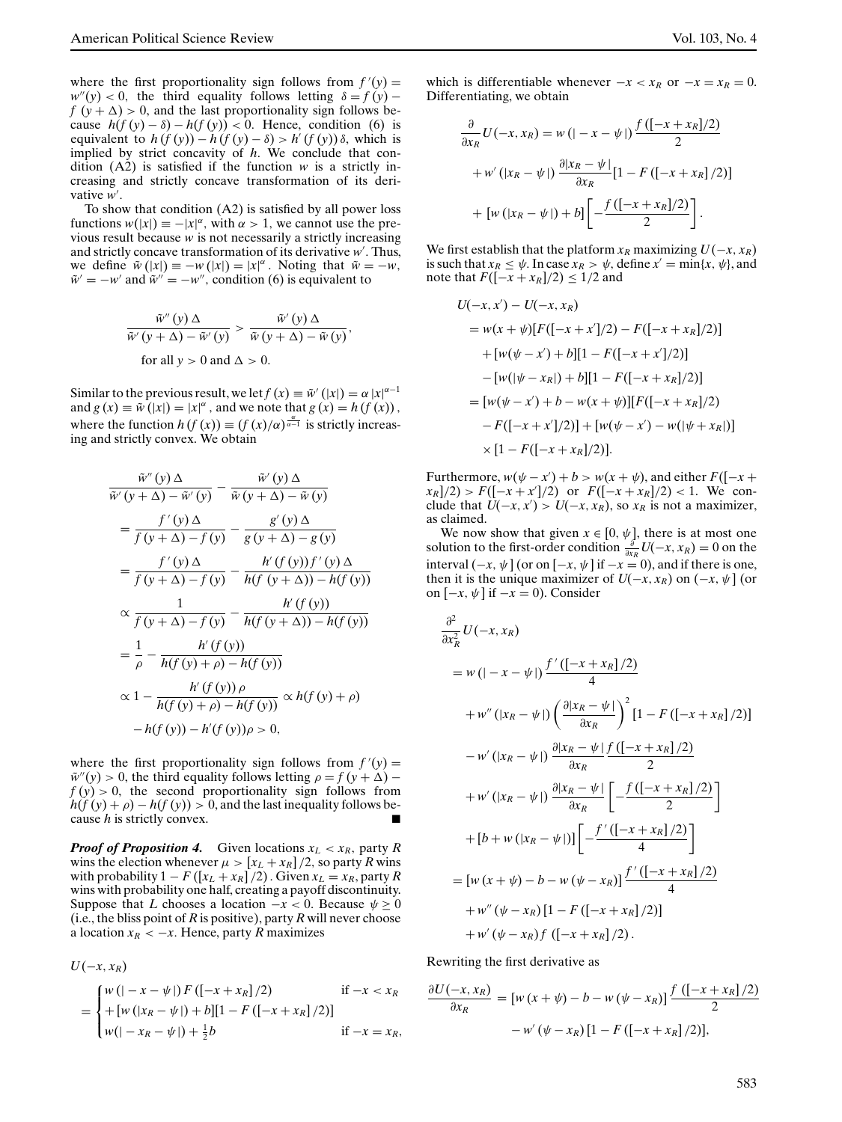where the first proportionality sign follows from  $f'(y) =$  $w''(y) < 0$ , the third equality follows letting  $\delta = f(y)$  –  $f(y + \Delta) > 0$ , and the last proportionality sign follows because  $h(f(y) - \delta) - h(f(y)) < 0$ . Hence, condition (6) is equivalent to  $h(f(y)) - h(f(y) - \delta) > h'(f(y)) \delta$ , which is implied by strict concavity of *h.* We conclude that condition  $(A2)$  is satisfied if the function *w* is a strictly increasing and strictly concave transformation of its derivative *w .*

To show that condition (A2) is satisfied by all power loss functions  $w(|x|) = -|x|^{\alpha}$ , with  $\alpha > 1$ , we cannot use the previous result because *w* is not necessarily a strictly increasing and strictly concave transformation of its derivative *w .* Thus, we define  $\tilde{w}(|x|) = -w(|x|) = |x|^{\alpha}$ . Noting that  $\tilde{w} = -w$ ,  $\tilde{w}' = -w'$  and  $\tilde{w}'' = -w''$ , condition (6) is equivalent to

$$
\frac{\tilde{w}''(y) \Delta}{\tilde{w}'(y + \Delta) - \tilde{w}'(y)} > \frac{\tilde{w}'(y) \Delta}{\tilde{w}(y + \Delta) - \tilde{w}(y)}
$$
  
for all  $y > 0$  and  $\Delta > 0$ .

*,*

Similar to the previous result, we let  $f(x) \equiv \tilde{w}'(|x|) = \alpha |x|^{\alpha-1}$ and  $g(x) \equiv \tilde{w}(x) = |x|^{\alpha}$ , and we note that  $g(x) = h(f(x))$ , where the function  $h(f(x)) \equiv (f(x)/\alpha)^{\frac{\alpha}{\alpha-1}}$  is strictly increasing and strictly convex. We obtain

$$
\frac{\tilde{w}''(y)\Delta}{\tilde{w}'(y+\Delta)-\tilde{w}'(y)} - \frac{\tilde{w}'(y)\Delta}{\tilde{w}(y+\Delta)-\tilde{w}(y)}
$$
\n
$$
= \frac{f'(y)\Delta}{f(y+\Delta)-f(y)} - \frac{g'(y)\Delta}{g(y+\Delta)-g(y)}
$$
\n
$$
= \frac{f'(y)\Delta}{f(y+\Delta)-f(y)} - \frac{h'(f(y))f'(y)\Delta}{h(f(y+\Delta))-h(f(y))}
$$
\n
$$
\alpha \frac{1}{f(y+\Delta)-f(y)} - \frac{h'(f(y))}{h(f(y+\Delta))-h(f(y))}
$$
\n
$$
= \frac{1}{\rho} - \frac{h'(f(y))}{h(f(y)+\rho)-h(f(y))}
$$
\n
$$
\alpha 1 - \frac{h'(f(y))\rho}{h(f(y)+\rho)-h(f(y))} \alpha h(f(y)+\rho)
$$
\n
$$
-h(f(y)) - h'(f(y))\rho > 0,
$$

where the first proportionality sign follows from  $f'(y) =$  $\tilde{w}''(y) > 0$ , the third equality follows letting  $\rho = f(y + \Delta)$  $f(y) > 0$ , the second proportionality sign follows from  $h(f(y) + \rho) - h(f(y)) > 0$ , and the last inequality follows because *h* is strictly convex.

*Proof of Proposition 4.* Given locations  $x_L < x_R$ , party R wins the election whenever  $\mu$  >  $[x_L + x_R]/2$ , so party *R* wins with probability  $1 - F([x_L + x_R]/2)$ . Given  $x_L = x_R$ , party R wins with probability one half, creating a payoff discontinuity. Suppose that *L* chooses a location  $-x < 0$ . Because  $\psi \ge 0$ (i.e., the bliss point of *R* is positive), party *R* will never choose a location *xR <* −*x.* Hence, party *R* maximizes

$$
U(-x, x_R)
$$
  
= 
$$
\begin{cases} w(|-x-\psi|) F([-x+x_R]/2) & \text{if } -x < x_R \\ + [w(|x_R-\psi|)+b][1-F([-x+x_R]/2)] \\ w(|-x_R-\psi|)+\frac{1}{2}b & \text{if } -x = x_R, \end{cases}
$$

which is differentiable whenever  $-x < x_R$  or  $-x = x_R = 0$ . Differentiating, we obtain

$$
\frac{\partial}{\partial x_R} U(-x, x_R) = w(|-x - \psi|) \frac{f([-x + x_R]/2)}{2}
$$

$$
+ w'(|x_R - \psi|) \frac{\partial |x_R - \psi|}{\partial x_R} [1 - F([-x + x_R]/2)]
$$

$$
+ [w(|x_R - \psi|) + b] \left[ -\frac{f([-x + x_R]/2)}{2} \right].
$$

We first establish that the platform  $x_R$  maximizing  $U(-x, x_R)$ is such that  $x_R \leq \psi$ . In case  $x_R > \psi$ , define  $x' = \min\{x, \psi\}$ , and note that  $F([-x + x_R]/2) \le 1/2$  and

$$
U(-x, x') - U(-x, x_R)
$$
  
=  $w(x + \psi)[F([-x + x']/2) - F([-x + x_R]/2)]$   
+  $[w(\psi - x') + b][1 - F([-x + x']/2)]$   
-  $[w(|\psi - x_R|) + b][1 - F([-x + x_R]/2)]$   
=  $[w(\psi - x') + b - w(x + \psi)][F([-x + x_R]/2)$   
-  $F([-x + x']/2)] + [w(\psi - x') - w(|\psi + x_R])]$   
×  $[1 - F([-x + x_R]/2)].$ 

Furthermore,  $w(\psi - x') + b > w(x + \psi)$ , and either  $F([-x + \psi])$  $\{x_R\}/2$ ) *>*  $F([-x + x']/2)$  or  $F([-x + x_R]/2)$  < 1. We conclude that  $\overline{U}(-x, x') > U(-x, x_R)$ , so  $x_R$  is not a maximizer, as claimed.

We now show that given  $x \in [0, \psi]$ , there is at most one solution to the first-order condition  $\frac{\partial}{\partial x_R} U(-x, x_R) = 0$  on the interval  $(-x, \psi]$  (or on  $[-x, \psi]$  if  $-x = 0$ ), and if there is one, then it is the unique maximizer of  $U(-x, x_R)$  on  $(-x, \psi)$  (or on  $[-x, \psi]$  if  $-x = 0$ ). Consider

$$
\frac{\partial^2}{\partial x_R^2} U(-x, x_R)
$$
\n
$$
= w (|-x - \psi|) \frac{f'([-x + x_R]/2)}{4}
$$
\n
$$
+ w'' (|x_R - \psi|) \left(\frac{\partial |x_R - \psi|}{\partial x_R}\right)^2 [1 - F ([-x + x_R]/2)]
$$
\n
$$
- w' (|x_R - \psi|) \frac{\partial |x_R - \psi|}{\partial x_R} \frac{f ([-x + x_R]/2)}{2}
$$
\n
$$
+ w' (|x_R - \psi|) \frac{\partial |x_R - \psi|}{\partial x_R} \left[-\frac{f ([-x + x_R]/2)}{2}\right]
$$
\n
$$
+ [b + w (|x_R - \psi|)] \left[-\frac{f' ([-x + x_R]/2)}{4}\right]
$$
\n
$$
= [w (x + \psi) - b - w ( \psi - x_R)] \frac{f' ([-x + x_R]/2)}{4}
$$
\n
$$
+ w'' ( \psi - x_R) [1 - F ([-x + x_R]/2)]
$$
\n
$$
+ w' (\psi - x_R) f ([-x + x_R]/2).
$$

Rewriting the first derivative as

$$
\frac{\partial U(-x, x_R)}{\partial x_R} = \left[ w(x + \psi) - b - w(\psi - x_R) \right] \frac{f((-x + x_R]/2)}{2}
$$

$$
- w'(\psi - x_R) \left[ 1 - F([-x + x_R]/2) \right],
$$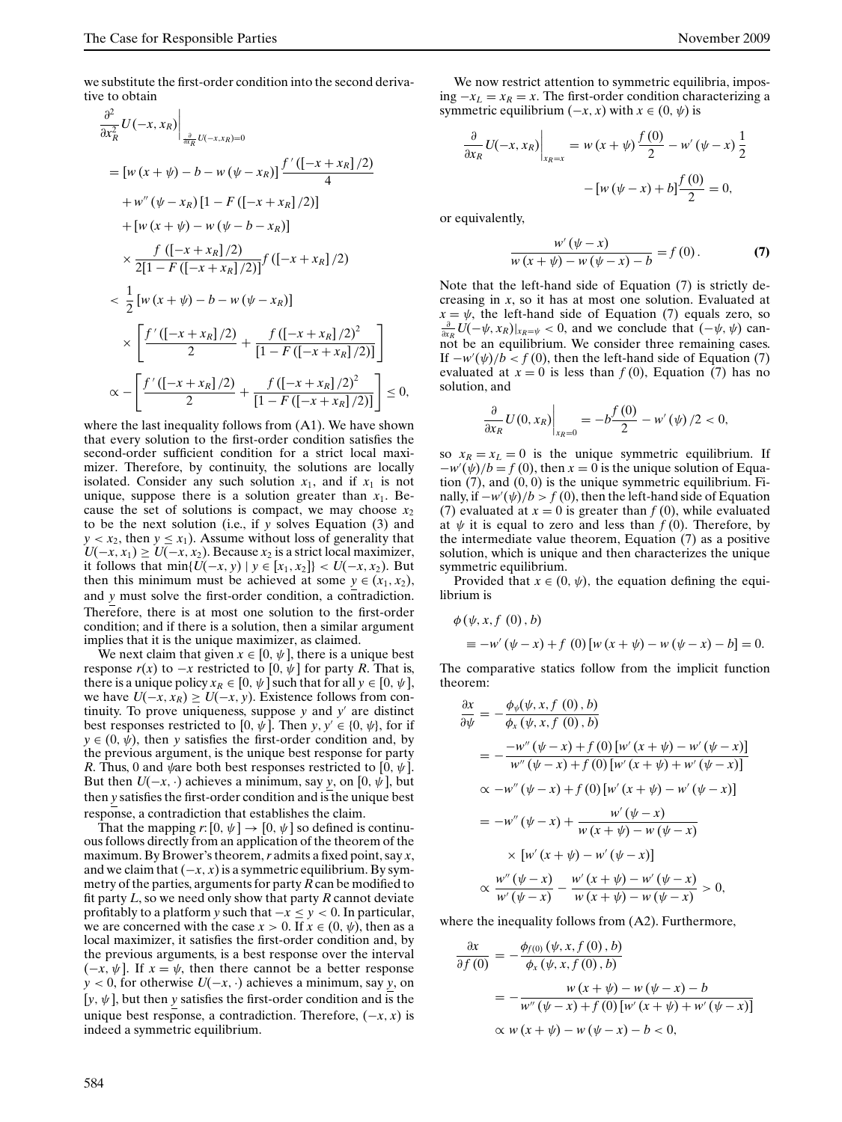we substitute the first-order condition into the second derivative to obtain

$$
\frac{\partial^2}{\partial x_R^2} U(-x, x_R) \Big|_{\frac{\partial}{\partial x_R} U(-x, x_R) = 0}
$$
\n
$$
= [w (x + \psi) - b - w (\psi - x_R)] \frac{f'([-x + x_R]/2)}{4}
$$
\n
$$
+ w'' (\psi - x_R) [1 - F ([-x + x_R]/2)]
$$
\n
$$
+ [w (x + \psi) - w (\psi - b - x_R)]
$$
\n
$$
\times \frac{f ([-x + x_R]/2)}{2[1 - F ([-x + x_R]/2)]} f ([-x + x_R]/2)
$$
\n
$$
< \frac{1}{2} [w (x + \psi) - b - w (\psi - x_R)]
$$
\n
$$
\times \left[ \frac{f'([-x + x_R]/2)}{2} + \frac{f ([-x + x_R]/2)^2}{[1 - F ([-x + x_R]/2)]} \right]
$$
\n
$$
\propto - \left[ \frac{f'([[-x + x_R]/2)}{2} + \frac{f ([-x + x_R]/2)^2}{[1 - F ([-x + x_R]/2)]} \right] \le 0,
$$

where the last inequality follows from (A1). We have shown that every solution to the first-order condition satisfies the second-order sufficient condition for a strict local maximizer. Therefore, by continuity, the solutions are locally isolated. Consider any such solution  $x_1$ , and if  $x_1$  is not unique, suppose there is a solution greater than  $x_1$ . Because the set of solutions is compact, we may choose  $x_2$ to be the next solution (i.e., if *y* solves Equation (3) and  $y < x_2$ , then  $y \le x_1$ ). Assume without loss of generality that  $U(-x, x_1) \ge U(-x, x_2)$ . Because  $x_2$  is a strict local maximizer, it follows that  $\min\{U(-x, y) \mid y \in [x_1, x_2]\}$  <  $U(-x, x_2)$ . But then this minimum must be achieved at some  $y \in (x_1, x_2)$ , and *y* must solve the first-order condition, a contradiction. Therefore, there is at most one solution to the first-order condition; and if there is a solution, then a similar argument implies that it is the unique maximizer, as claimed.

We next claim that given  $x \in [0, \psi]$ , there is a unique best response  $r(x)$  to  $-x$  restricted to [0,  $\psi$ ] for party *R*. That is, there is a unique policy  $x_R \in [0, \psi]$  such that for all  $y \in [0, \psi]$ , we have  $U(-x, x_R) \ge U(-x, y)$ . Existence follows from continuity. To prove uniqueness, suppose *y* and *y* are distinct best responses restricted to  $[0, \psi]$ . Then  $y, y' \in \{0, \psi\}$ , for if  $y \in (0, \psi)$ , then *y* satisfies the first-order condition and, by the previous argument, is the unique best response for party *R*. Thus, 0 and *ψ*are both best responses restricted to [0*, ψ*]. But then  $U(-x, \cdot)$  achieves a minimum, say *y*, on [0,  $\psi$ ], but then *y* satisfies the first-order condition and is the unique best response, a contradiction that establishes the claim.

That the mapping  $r: [0, \psi] \to [0, \psi]$  so defined is continuous follows directly from an application of the theorem of the maximum. By Brower's theorem,*r* admits a fixed point, say *x*, and we claim that (−*x, x*) is a symmetric equilibrium. By symmetry of the parties, arguments for party *R* can be modified to fit party *L*, so we need only show that party *R* cannot deviate profitably to a platform *y* such that  $-x \leq y < 0$ . In particular, we are concerned with the case  $x > 0$ . If  $x \in (0, \psi)$ , then as a local maximizer, it satisfies the first-order condition and, by the previous arguments, is a best response over the interval (−*x,ψ*]. If *x* = *ψ*, then there cannot be a better response *y <* 0, for otherwise *U*(−*x,* ·) achieves a minimum, say *y*, on [*y, ψ*], but then *y* satisfies the first-order condition and is the unique best response, a contradiction. Therefore,  $(-x, x)$  is indeed a symmetric equilibrium.

We now restrict attention to symmetric equilibria, imposing  $-x_L = x_R = x$ . The first-order condition characterizing a symmetric equilibrium  $(-x, x)$  with  $x \in (0, \psi)$  is

$$
\frac{\partial}{\partial x_R} U(-x, x_R) \Big|_{x_R = x} = w(x + \psi) \frac{f(0)}{2} - w'(\psi - x) \frac{1}{2}
$$

$$
- [w(\psi - x) + b] \frac{f(0)}{2} = 0,
$$

or equivalently,

$$
\frac{w'(\psi - x)}{w(x + \psi) - w(\psi - x) - b} = f(0).
$$
 (7)

Note that the left-hand side of Equation (7) is strictly decreasing in *x*, so it has at most one solution. Evaluated at  $x = \psi$ , the left-hand side of Equation (7) equals zero, so  $\frac{\partial}{\partial x_R} U(-\psi, x_R)|_{x_R=\psi}$  < 0, and we conclude that  $(-\psi, \psi)$  cannot be an equilibrium. We consider three remaining cases. If  $-w'(\psi)/b < f(0)$ , then the left-hand side of Equation (7) evaluated at  $x = 0$  is less than  $f(0)$ , Equation (7) has no solution, and

$$
\frac{\partial}{\partial x_R} U(0, x_R) \bigg|_{x_R = 0} = -b \frac{f(0)}{2} - w'(\psi) / 2 < 0,
$$

so  $x_R = x_L = 0$  is the unique symmetric equilibrium. If  $-w'(\psi)/b = f(0)$ , then  $x = 0$  is the unique solution of Equation (7), and (0*,* 0) is the unique symmetric equilibrium. Finally, if  $-w'(\psi)/b > f(0)$ , then the left-hand side of Equation (7) evaluated at  $x = 0$  is greater than  $f(0)$ , while evaluated at  $\psi$  it is equal to zero and less than  $f(0)$ . Therefore, by the intermediate value theorem, Equation (7) as a positive solution, which is unique and then characterizes the unique symmetric equilibrium.

Provided that  $x \in (0, \psi)$ , the equation defining the equilibrium is

$$
\phi(\psi, x, f(0), b)
$$
  
\n
$$
\equiv -w'(\psi - x) + f(0)[w(x + \psi) - w(\psi - x) - b] = 0.
$$

The comparative statics follow from the implicit function theorem:

$$
\frac{\partial x}{\partial \psi} = -\frac{\phi_{\psi}(\psi, x, f(0), b)}{\phi_{x}(\psi, x, f(0), b)}
$$
\n
$$
= -\frac{w''(\psi - x) + f(0)[w'(x + \psi) - w'(\psi - x)]}{w''(\psi - x) + f(0)[w'(x + \psi) + w'(\psi - x)]}
$$
\n
$$
\propto -w''(\psi - x) + f(0)[w'(x + \psi) - w'(\psi - x)]
$$
\n
$$
= -w''(\psi - x) + \frac{w'(\psi - x)}{w(x + \psi) - w(\psi - x)}
$$
\n
$$
\times [w'(x + \psi) - w'(\psi - x)]
$$
\n
$$
\propto \frac{w''(\psi - x)}{w'(\psi - x)} - \frac{w'(x + \psi) - w'(\psi - x)}{w(x + \psi) - w(\psi - x)} > 0,
$$

where the inequality follows from (A2). Furthermore,

$$
\frac{\partial x}{\partial f(0)} = -\frac{\phi_{f(0)}(\psi, x, f(0), b)}{\phi_x(\psi, x, f(0), b)}
$$
  
= 
$$
-\frac{w(x + \psi) - w(\psi - x) - b}{w''(\psi - x) + f(0)[w'(x + \psi) + w'(\psi - x)]}
$$
  

$$
\propto w(x + \psi) - w(\psi - x) - b < 0,
$$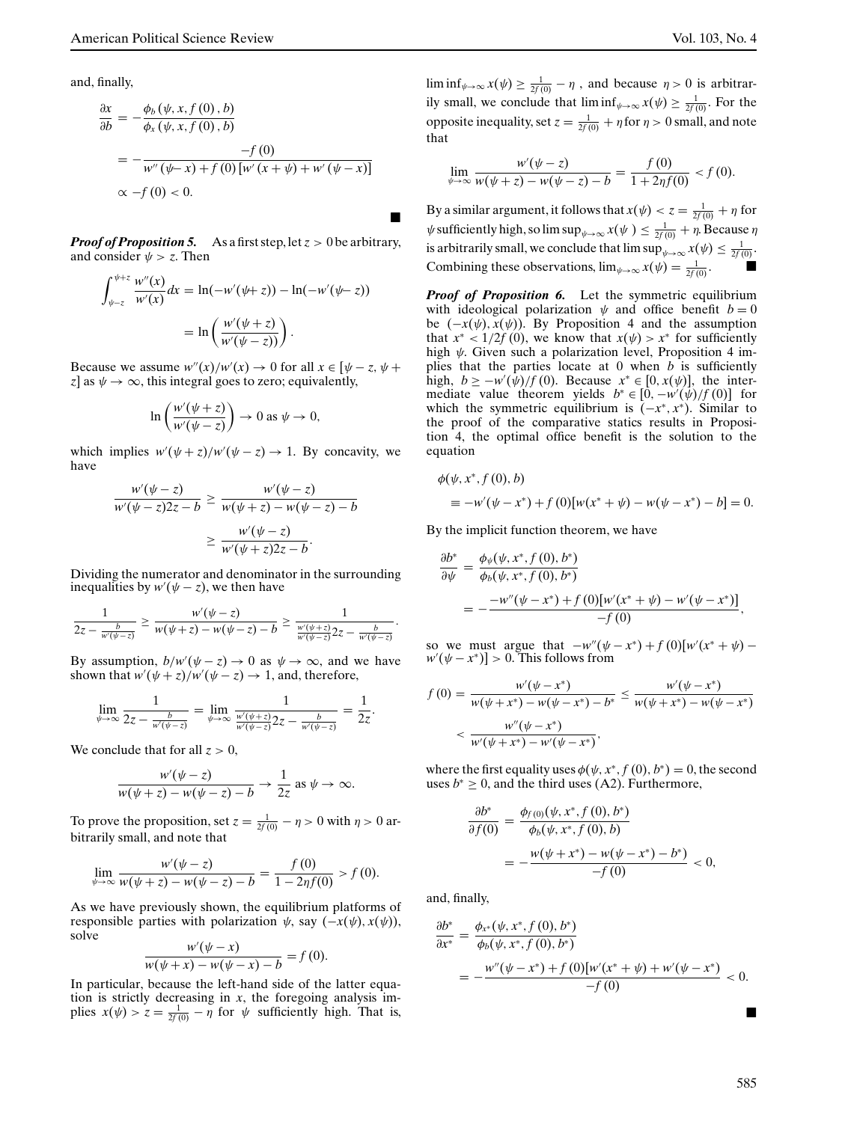and, finally,

$$
\frac{\partial x}{\partial b} = -\frac{\phi_b(\psi, x, f(0), b)}{\phi_x(\psi, x, f(0), b)}
$$
  
= 
$$
-\frac{f(0)}{w''(\psi - x) + f(0)[w'(x + \psi) + w'(\psi - x)]}
$$
  

$$
\propto -f(0) < 0.
$$

*Proof of Proposition 5.* As a first step, let  $z > 0$  be arbitrary, and consider  $\psi > z$ . Then

$$
\int_{\psi-z}^{\psi+z} \frac{w''(x)}{w'(x)} dx = \ln(-w'(\psi+z)) - \ln(-w'(\psi-z))
$$
  
= 
$$
\ln\left(\frac{w'(\psi+z)}{w'(\psi-z))}\right).
$$

Because we assume  $w''(x)/w'(x) \to 0$  for all  $x \in [\psi - z, \psi + \psi]$ *z*] as  $\psi \rightarrow \infty$ , this integral goes to zero; equivalently,

$$
\ln\left(\frac{w'(\psi+z)}{w'(\psi-z)}\right)\to 0 \text{ as } \psi \to 0,
$$

which implies  $w'(\psi + z)/w'(\psi - z) \rightarrow 1$ . By concavity, we have

$$
\frac{w'(\psi - z)}{w'(\psi - z)2z - b} \ge \frac{w'(\psi - z)}{w(\psi + z) - w(\psi - z) - b} \ge \frac{w'(\psi - z)}{w'(\psi + z)2z - b}.
$$

Dividing the numerator and denominator in the surrounding inequalities by  $w'(\psi - z)$ , we then have

$$
\frac{1}{2z - \frac{b}{w'(\psi - z)}} \ge \frac{w'(\psi - z)}{w(\psi + z) - w(\psi - z) - b} \ge \frac{1}{\frac{w'(\psi + z)}{w'(\psi - z)} 2z - \frac{b}{w'(\psi - z)}}.
$$

By assumption,  $b/w'(\psi - z) \to 0$  as  $\psi \to \infty$ , and we have shown that  $w'(w+z)/w'(w-z) \rightarrow 1$ , and, therefore,

$$
\lim_{\psi \to \infty} \frac{1}{2z - \frac{b}{w'(\psi - z)}} = \lim_{\psi \to \infty} \frac{1}{\frac{w'(\psi + z)}{w'(\psi - z)} 2z - \frac{b}{w'(\psi - z)}} = \frac{1}{2z}.
$$

We conclude that for all  $z > 0$ ,

$$
\frac{w'(\psi - z)}{w(\psi + z) - w(\psi - z) - b} \to \frac{1}{2z} \text{ as } \psi \to \infty.
$$

To prove the proposition, set  $z = \frac{1}{2f(0)} - \eta > 0$  with  $\eta > 0$  arbitrarily small, and note that

$$
\lim_{\psi \to \infty} \frac{w'(\psi - z)}{w(\psi + z) - w(\psi - z) - b} = \frac{f(0)}{1 - 2\eta f(0)} > f(0).
$$

As we have previously shown, the equilibrium platforms of responsible parties with polarization  $\psi$ , say  $(-x(\psi), x(\psi))$ , solve *<sup>w</sup>*

$$
\frac{w'(\psi - x)}{w(\psi + x) - w(\psi - x) - b} = f(0).
$$

In particular, because the left-hand side of the latter equation is strictly decreasing in *x*, the foregoing analysis implies  $x(\psi) > z = \frac{1}{2f(0)} - \eta$  for  $\psi$  sufficiently high. That is,

 $\liminf_{\psi \to \infty} x(\psi) \ge \frac{1}{2f(0)} - \eta$ , and because  $\eta > 0$  is arbitrarily small, we conclude that  $\liminf_{\psi \to \infty} x(\psi) \ge \frac{1}{2f(0)}$ . For the opposite inequality, set  $z = \frac{1}{2f(0)} + \eta$  for  $\eta > 0$  small, and note that

$$
\lim_{\psi \to \infty} \frac{w'(\psi - z)}{w(\psi + z) - w(\psi - z) - b} = \frac{f(0)}{1 + 2\eta f(0)} < f(0).
$$

By a similar argument, it follows that  $x(\psi) < z = \frac{1}{2f(0)} + \eta$  for  $\psi$  sufficiently high, so lim  $\sup_{\psi \to \infty} x(\psi) \leq \frac{1}{2f(0)} + \eta$ . Because  $\eta$ is arbitrarily small, we conclude that  $\limsup_{\psi \to \infty} x(\psi) \leq \frac{1}{2f(0)}$ . Combining these observations,  $\lim_{\psi \to \infty} x(\psi) = \frac{1}{2f(0)}$ .

*Proof of Proposition 6.* Let the symmetric equilibrium with ideological polarization  $\psi$  and office benefit  $b = 0$ be  $(-x(\psi), x(\psi))$ . By Proposition 4 and the assumption that  $x^*$  < 1/2*f* (0), we know that  $x(\psi) > x^*$  for sufficiently high *ψ*. Given such a polarization level, Proposition 4 implies that the parties locate at  $0$  when  $\overrightarrow{b}$  is sufficiently high,  $b \ge -w'(\psi)/f(0)$ . Because  $x^* \in [0, x(\psi)]$ , the intermediate value theorem yields  $b^* \in [0, -w'(\psi)/f(0)]$  for which the symmetric equilibrium is (−*x*<sup>∗</sup>*, x*<sup>∗</sup>). Similar to the proof of the comparative statics results in Proposition 4, the optimal office benefit is the solution to the equation

$$
\begin{aligned} \phi(\psi, x^*, f(0), b) \\ &= -w'(\psi - x^*) + f(0)[w(x^* + \psi) - w(\psi - x^*) - b] = 0. \end{aligned}
$$

By the implicit function theorem, we have

$$
\frac{\partial b^*}{\partial \psi} = \frac{\phi_{\psi}(\psi, x^*, f(0), b^*)}{\phi_b(\psi, x^*, f(0), b^*)}
$$
  
= 
$$
-\frac{-w''(\psi - x^*) + f(0)[w'(x^* + \psi) - w'(\psi - x^*)]}{-f(0)},
$$

so we must argue that  $-w''(\psi - x^*) + f(0)[w'(x^* + \psi) - w'(\psi - x^*)] > 0$ . This follows from  $(w'(\psi - x^*))$  > 0. This follows from

$$
f(0) = \frac{w'(\psi - x^*)}{w(\psi + x^*) - w(\psi - x^*) - b^*} \le \frac{w'(\psi - x^*)}{w(\psi + x^*) - w(\psi - x^*)}
$$
  
< 
$$
< \frac{w''(\psi - x^*)}{w'(\psi + x^*) - w'(\psi - x^*)},
$$

where the first equality uses  $\phi(\psi, x^*, f(0), b^*) = 0$ , the second uses  $b^* \geq 0$ , and the third uses (A2). Furthermore,

$$
\frac{\partial b^*}{\partial f(0)} = \frac{\phi_{f(0)}(\psi, x^*, f(0), b^*)}{\phi_b(\psi, x^*, f(0), b)}
$$
  
= 
$$
-\frac{w(\psi + x^*) - w(\psi - x^*) - b^*}{-f(0)} < 0,
$$

and, finally,

$$
\frac{\partial b^*}{\partial x^*} = \frac{\phi_{x^*}(\psi, x^*, f(0), b^*)}{\phi_b(\psi, x^*, f(0), b^*)}
$$
  
= 
$$
-\frac{w''(\psi - x^*) + f(0)[w'(x^* + \psi) + w'(\psi - x^*)}{-f(0)} < 0.
$$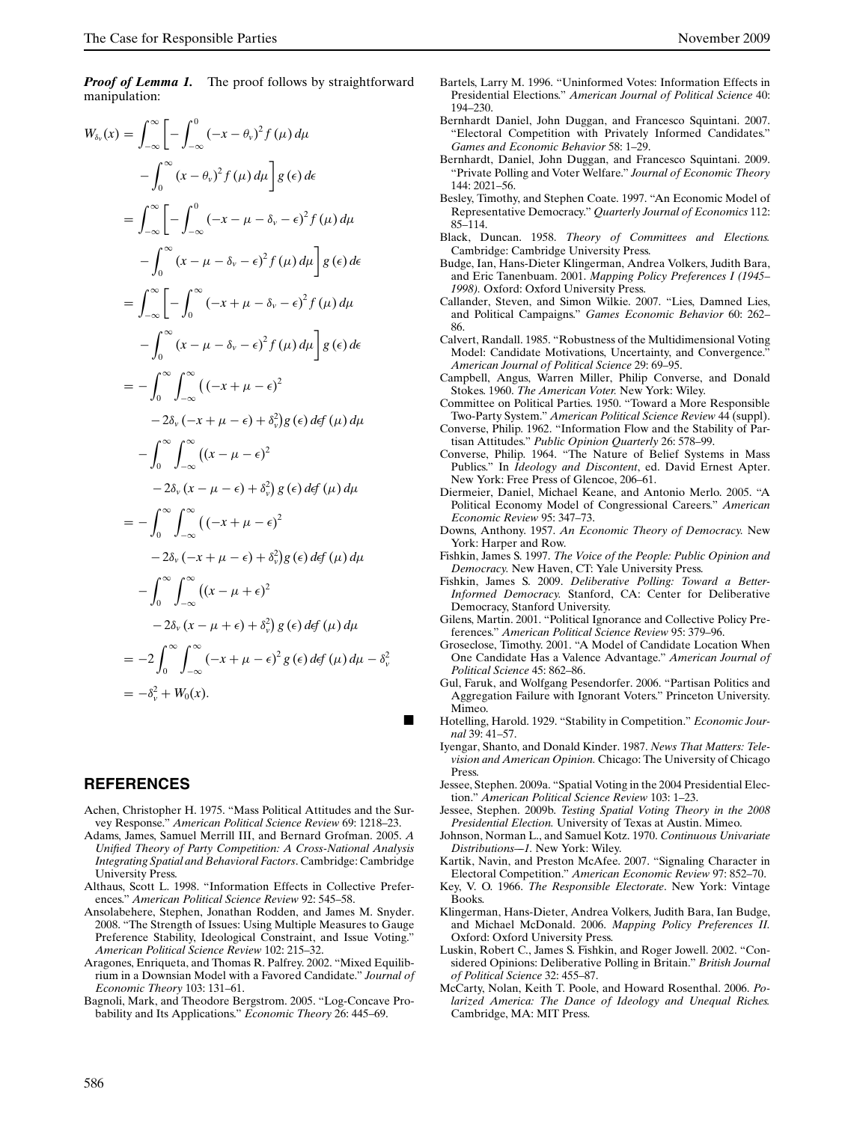*Proof of Lemma 1.* The proof follows by straightforward manipulation:

$$
W_{\delta_{\nu}}(x) = \int_{-\infty}^{\infty} \left[ -\int_{-\infty}^{0} (-x - \theta_{\nu})^2 f(\mu) d\mu \right.
$$
  
\n
$$
- \int_{0}^{\infty} (x - \theta_{\nu})^2 f(\mu) d\mu \Big] g(\epsilon) d\epsilon
$$
  
\n
$$
= \int_{-\infty}^{\infty} \left[ -\int_{-\infty}^{0} (-x - \mu - \delta_{\nu} - \epsilon)^2 f(\mu) d\mu \right] g(\epsilon) d\epsilon
$$
  
\n
$$
= \int_{-\infty}^{\infty} \left[ -\int_{0}^{\infty} (-x + \mu - \delta_{\nu} - \epsilon)^2 f(\mu) d\mu \right] g(\epsilon) d\epsilon
$$
  
\n
$$
= \int_{-\infty}^{\infty} \left[ -\int_{0}^{\infty} (-x + \mu - \delta_{\nu} - \epsilon)^2 f(\mu) d\mu \right] g(\epsilon) d\epsilon
$$
  
\n
$$
= -\int_{0}^{\infty} \int_{-\infty}^{\infty} ((x - \mu - \epsilon)^2 f(\mu) d\mu) g(\epsilon) d\epsilon
$$
  
\n
$$
= -\int_{0}^{\infty} \int_{-\infty}^{\infty} ((x - \mu - \epsilon)^2 f(\mu) d\mu) d\mu
$$
  
\n
$$
- \int_{0}^{\infty} \int_{-\infty}^{\infty} ((x - \mu - \epsilon)^2 f(\mu) d\mu) d\mu
$$
  
\n
$$
= -\int_{0}^{\infty} \int_{-\infty}^{\infty} ((x - \mu - \epsilon)^2 f(\mu) d\mu) d\mu
$$
  
\n
$$
= -\int_{0}^{\infty} \int_{-\infty}^{\infty} ((x - \mu - \epsilon)^2 f(\mu) d\mu) d\mu
$$
  
\n
$$
- \int_{0}^{\infty} \int_{-\infty}^{\infty} ((x - \mu + \epsilon)^2 f(\mu) d\mu) d\mu
$$
  
\n
$$
= -\int_{0}^{\infty} \int_{-\infty}^{\infty} ((x - \mu + \epsilon)^2 f(\mu) d\mu) d\mu
$$
  
\n
$$
= -\int_{0}^{\infty} \int_{-\infty
$$

# **REFERENCES**

Achen, Christopher H. 1975. "Mass Political Attitudes and the Survey Response." *American Political Science Review* 69: 1218–23.

- Adams, James, Samuel Merrill III, and Bernard Grofman. 2005. *A Unified Theory of Party Competition: A Cross-National Analysis Integrating Spatial and Behavioral Factors*. Cambridge: Cambridge University Press.
- Althaus, Scott L. 1998. "Information Effects in Collective Preferences." *American Political Science Review* 92: 545–58.
- Ansolabehere, Stephen, Jonathan Rodden, and James M. Snyder. 2008. "The Strength of Issues: Using Multiple Measures to Gauge Preference Stability, Ideological Constraint, and Issue Voting.' *American Political Science Review* 102: 215–32.
- Aragones, Enriqueta, and Thomas R. Palfrey. 2002. "Mixed Equilibrium in a Downsian Model with a Favored Candidate." *Journal of Economic Theory* 103: 131–61.
- Bagnoli, Mark, and Theodore Bergstrom. 2005. "Log-Concave Probability and Its Applications." *Economic Theory* 26: 445–69.
- Bernhardt Daniel, John Duggan, and Francesco Squintani. 2007. "Electoral Competition with Privately Informed Candidates." *Games and Economic Behavior* 58: 1–29.
- Bernhardt, Daniel, John Duggan, and Francesco Squintani. 2009. "Private Polling and Voter Welfare." *Journal of Economic Theory* 144: 2021–56.
- Besley, Timothy, and Stephen Coate. 1997. "An Economic Model of Representative Democracy." *Quarterly Journal of Economics* 112: 85–114.
- Black, Duncan. 1958. *Theory of Committees and Elections.* Cambridge: Cambridge University Press.
- Budge, Ian, Hans-Dieter Klingerman, Andrea Volkers, Judith Bara, and Eric Tanenbuam. 2001. *Mapping Policy Preferences I (1945– 1998).* Oxford: Oxford University Press.
- Callander, Steven, and Simon Wilkie. 2007. "Lies, Damned Lies, and Political Campaigns." *Games Economic Behavior* 60: 262– 86.
- Calvert, Randall. 1985. "Robustness of the Multidimensional Voting Model: Candidate Motivations, Uncertainty, and Convergence." *American Journal of Political Science* 29: 69–95.
- Campbell, Angus, Warren Miller, Philip Converse, and Donald Stokes. 1960. *The American Voter.* New York: Wiley.
- Committee on Political Parties. 1950. "Toward a More Responsible Two-Party System." *American Political Science Review* 44 (suppl). Converse, Philip. 1962. "Information Flow and the Stability of Par-
- tisan Attitudes." *Public Opinion Quarterly* 26: 578–99. Converse, Philip. 1964. "The Nature of Belief Systems in Mass
- Publics." In *Ideology and Discontent*, ed. David Ernest Apter. New York: Free Press of Glencoe, 206–61.
- Diermeier, Daniel, Michael Keane, and Antonio Merlo. 2005. "A Political Economy Model of Congressional Careers." *American Economic Review* 95: 347–73.
- Downs, Anthony. 1957. *An Economic Theory of Democracy.* New York: Harper and Row.
- Fishkin, James S. 1997. *The Voice of the People: Public Opinion and Democracy.* New Haven, CT: Yale University Press.
- Fishkin, James S. 2009. *Deliberative Polling: Toward a Better-Informed Democracy.* Stanford, CA: Center for Deliberative Democracy, Stanford University.
- Gilens, Martin. 2001. "Political Ignorance and Collective Policy Preferences." *American Political Science Review* 95: 379–96.
- Groseclose, Timothy. 2001. "A Model of Candidate Location When One Candidate Has a Valence Advantage." *American Journal of Political Science* 45: 862–86.
- Gul, Faruk, and Wolfgang Pesendorfer. 2006. "Partisan Politics and Aggregation Failure with Ignorant Voters." Princeton University. Mimeo.
- Hotelling, Harold. 1929. "Stability in Competition." *Economic Journal* 39: 41–57.
- Iyengar, Shanto, and Donald Kinder. 1987. *News That Matters: Television and American Opinion.* Chicago: The University of Chicago Press.
- Jessee, Stephen. 2009a. "Spatial Voting in the 2004 Presidential Election." *American Political Science Review* 103: 1–23.
- Jessee, Stephen. 2009b. *Testing Spatial Voting Theory in the 2008 Presidential Election.* University of Texas at Austin. Mimeo.
- Johnson, Norman L., and Samuel Kotz. 1970. *Continuous Univariate Distributions—–1.* New York: Wiley.
- Kartik, Navin, and Preston McAfee. 2007. "Signaling Character in Electoral Competition." *American Economic Review* 97: 852–70.
- Key, V. O. 1966. *The Responsible Electorate*. New York: Vintage Books.
- Klingerman, Hans-Dieter, Andrea Volkers, Judith Bara, Ian Budge, and Michael McDonald. 2006. *Mapping Policy Preferences II.* Oxford: Oxford University Press.
- Luskin, Robert C., James S. Fishkin, and Roger Jowell. 2002. "Considered Opinions: Deliberative Polling in Britain." *British Journal of Political Science* 32: 455–87.
- McCarty, Nolan, Keith T. Poole, and Howard Rosenthal. 2006. *Polarized America: The Dance of Ideology and Unequal Riches.* Cambridge, MA: MIT Press.